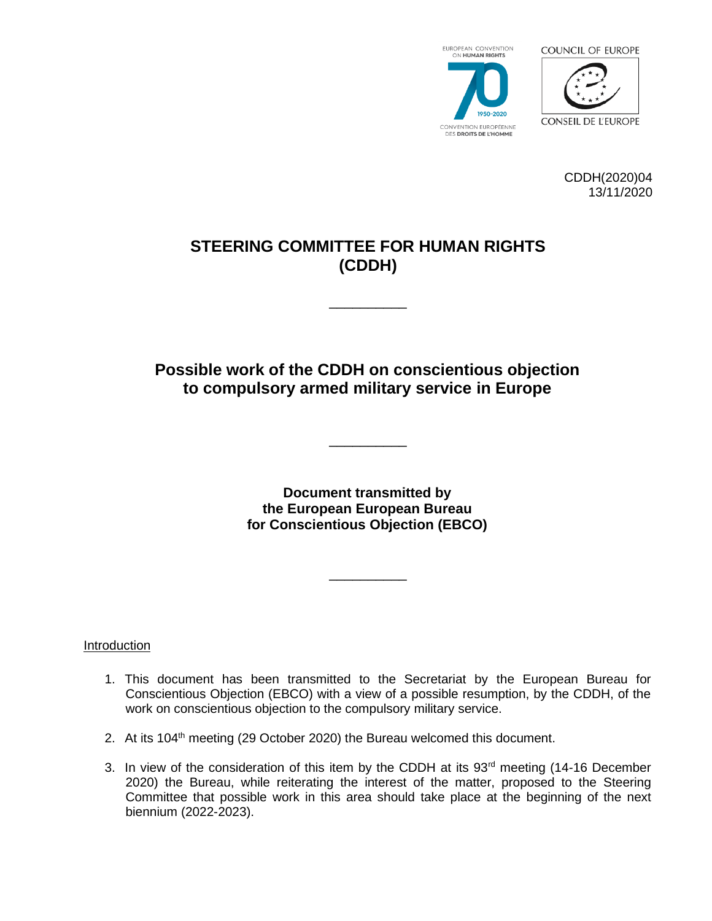





CDDH(2020)04 13/11/2020

# **STEERING COMMITTEE FOR HUMAN RIGHTS (CDDH)**

\_\_\_\_\_\_\_\_\_\_

# **Possible work of the CDDH on conscientious objection to compulsory armed military service in Europe**

\_\_\_\_\_\_\_\_\_\_

**Document transmitted by the European European Bureau for Conscientious Objection (EBCO)** 

\_\_\_\_\_\_\_\_\_\_

**Introduction** 

- 1. This document has been transmitted to the Secretariat by the European Bureau for Conscientious Objection (EBCO) with a view of a possible resumption, by the CDDH, of the work on conscientious objection to the compulsory military service.
- 2. At its  $104<sup>th</sup>$  meeting (29 October 2020) the Bureau welcomed this document.
- 3. In view of the consideration of this item by the CDDH at its 93<sup>rd</sup> meeting (14-16 December 2020) the Bureau, while reiterating the interest of the matter, proposed to the Steering Committee that possible work in this area should take place at the beginning of the next biennium (2022-2023).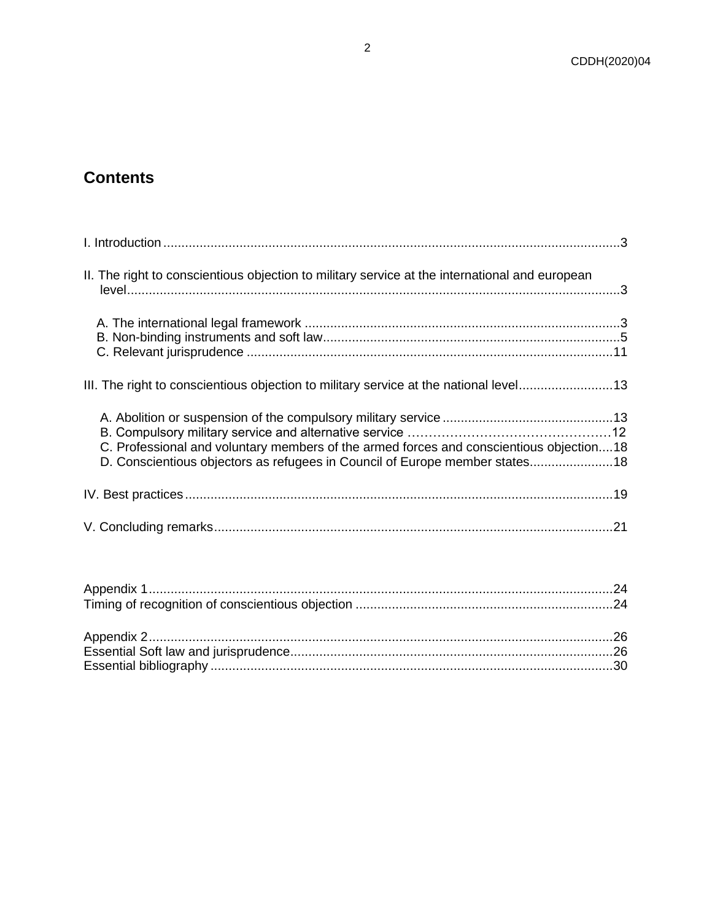# **Contents**

| II. The right to conscientious objection to military service at the international and european                                                                         |  |
|------------------------------------------------------------------------------------------------------------------------------------------------------------------------|--|
|                                                                                                                                                                        |  |
| III. The right to conscientious objection to military service at the national level13                                                                                  |  |
| C. Professional and voluntary members of the armed forces and conscientious objection18<br>D. Conscientious objectors as refugees in Council of Europe member states18 |  |
|                                                                                                                                                                        |  |
|                                                                                                                                                                        |  |
|                                                                                                                                                                        |  |
|                                                                                                                                                                        |  |

<span id="page-1-0"></span>Essential bibliography [...............................................................................................................30](#page-28-0)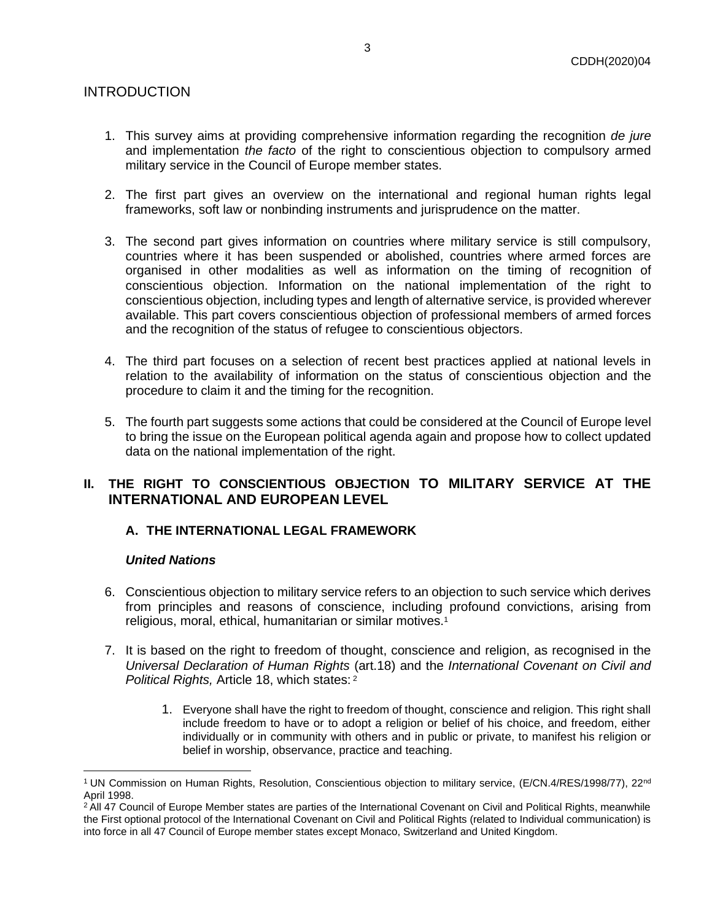# INTRODUCTION

- 1. This survey aims at providing comprehensive information regarding the recognition *de jure* and implementation *the facto* of the right to conscientious objection to compulsory armed military service in the Council of Europe member states.
- 2. The first part gives an overview on the international and regional human rights legal frameworks, soft law or nonbinding instruments and jurisprudence on the matter.
- 3. The second part gives information on countries where military service is still compulsory, countries where it has been suspended or abolished, countries where armed forces are organised in other modalities as well as information on the timing of recognition of conscientious objection. Information on the national implementation of the right to conscientious objection, including types and length of alternative service, is provided wherever available. This part covers conscientious objection of professional members of armed forces and the recognition of the status of refugee to conscientious objectors.
- 4. The third part focuses on a selection of recent best practices applied at national levels in relation to the availability of information on the status of conscientious objection and the procedure to claim it and the timing for the recognition.
- 5. The fourth part suggests some actions that could be considered at the Council of Europe level to bring the issue on the European political agenda again and propose how to collect updated data on the national implementation of the right.

# <span id="page-2-1"></span><span id="page-2-0"></span>**II. THE RIGHT TO CONSCIENTIOUS OBJECTION TO MILITARY SERVICE AT THE INTERNATIONAL AND EUROPEAN LEVEL**

# **A. THE INTERNATIONAL LEGAL FRAMEWORK**

#### *United Nations*

- 6. Conscientious objection to military service refers to an objection to such service which derives from principles and reasons of conscience, including profound convictions, arising from religious, moral, ethical, humanitarian or similar motives.<sup>1</sup>
- 7. It is based on the right to freedom of thought, conscience and religion, as recognised in the *Universal Declaration of Human Rights* (art.18) and the *International Covenant on Civil and Political Rights,* Article 18, which states: <sup>2</sup>
	- 1. Everyone shall have the right to freedom of thought, conscience and religion. This right shall include freedom to have or to adopt a religion or belief of his choice, and freedom, either individually or in community with others and in public or private, to manifest his religion or belief in worship, observance, practice and teaching.

<sup>&</sup>lt;sup>1</sup> UN Commission on Human Rights, Resolution, Conscientious objection to military service, (E/CN.4/RES/1998/77), 22<sup>nd</sup> April 1998.

<sup>&</sup>lt;sup>2</sup> All 47 Council of Europe Member states are parties of the International Covenant on Civil and Political Rights, meanwhile the First optional protocol of the International Covenant on Civil and Political Rights (related to Individual communication) is into force in all 47 Council of Europe member states except Monaco, Switzerland and United Kingdom.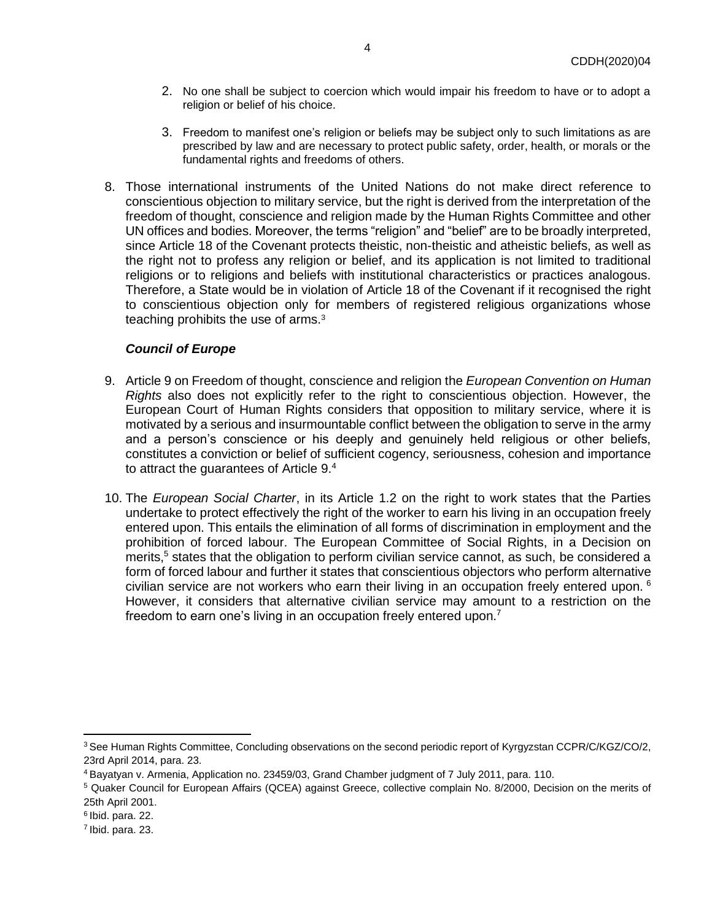- 2. No one shall be subject to coercion which would impair his freedom to have or to adopt a religion or belief of his choice.
- 3. Freedom to manifest one's religion or beliefs may be subject only to such limitations as are prescribed by law and are necessary to protect public safety, order, health, or morals or the fundamental rights and freedoms of others.
- 8. Those international instruments of the United Nations do not make direct reference to conscientious objection to military service, but the right is derived from the interpretation of the freedom of thought, conscience and religion made by the Human Rights Committee and other UN offices and bodies. Moreover, the terms "religion" and "belief" are to be broadly interpreted, since Article 18 of the Covenant protects theistic, non-theistic and atheistic beliefs, as well as the right not to profess any religion or belief, and its application is not limited to traditional religions or to religions and beliefs with institutional characteristics or practices analogous. Therefore, a State would be in violation of Article 18 of the Covenant if it recognised the right to conscientious objection only for members of registered religious organizations whose teaching prohibits the use of arms.<sup>3</sup>

#### *Council of Europe*

- 9. Article 9 on Freedom of thought, conscience and religion the *European Convention on Human Rights* also does not explicitly refer to the right to conscientious objection. However, the European Court of Human Rights considers that opposition to military service, where it is motivated by a serious and insurmountable conflict between the obligation to serve in the army and a person's conscience or his deeply and genuinely held religious or other beliefs, constitutes a conviction or belief of sufficient cogency, seriousness, cohesion and importance to attract the guarantees of Article 9.4
- 10. The *European Social Charter*, in its Article 1.2 on the right to work states that the Parties undertake to protect effectively the right of the worker to earn his living in an occupation freely entered upon. This entails the elimination of all forms of discrimination in employment and the prohibition of forced labour. The European Committee of Social Rights, in a Decision on merits,<sup>5</sup> states that the obligation to perform civilian service cannot, as such, be considered a form of forced labour and further it states that conscientious objectors who perform alternative civilian service are not workers who earn their living in an occupation freely entered upon.  $6$ However, it considers that alternative civilian service may amount to a restriction on the freedom to earn one's living in an occupation freely entered upon.<sup>7</sup>

<sup>3</sup> See Human Rights Committee, Concluding observations on the second periodic report of Kyrgyzstan CCPR/C/KGZ/CO/2, 23rd April 2014, para. 23.

<sup>4</sup> Bayatyan v. Armenia, Application no. 23459/03, Grand Chamber judgment of 7 July 2011, para. 110.

<sup>5</sup> Quaker Council for European Affairs (QCEA) against Greece, collective complain No. 8/2000, Decision on the merits of 25th April 2001.

<sup>6</sup> Ibid. para. 22.

<sup>&</sup>lt;sup>7</sup> Ibid. para. 23.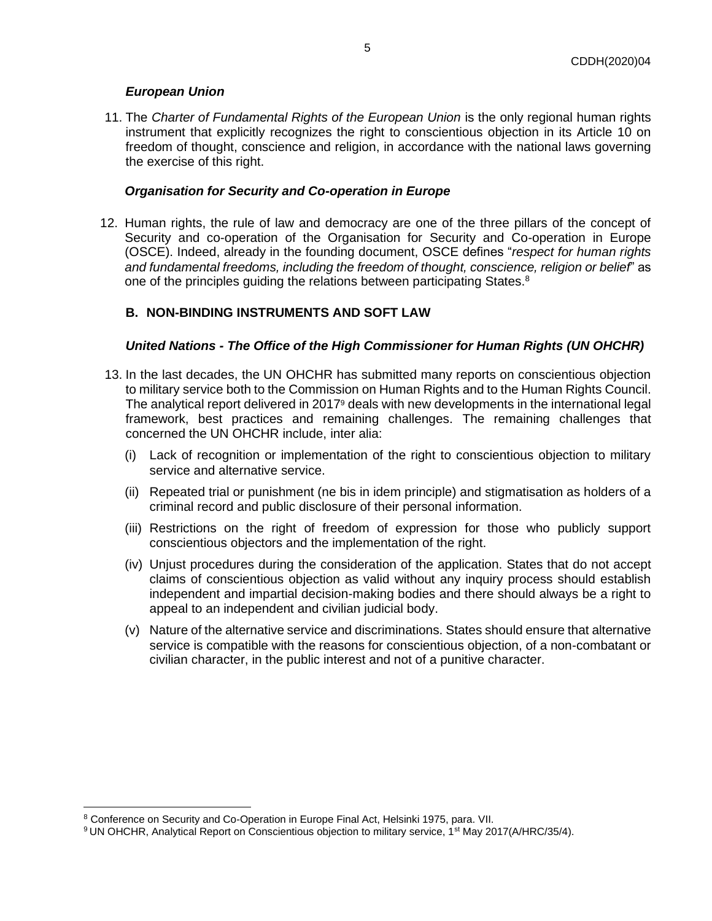## *European Union*

11. The *Charter of Fundamental Rights of the European Union* is the only regional human rights instrument that explicitly recognizes the right to conscientious objection in its Article 10 on freedom of thought, conscience and religion, in accordance with the national laws governing the exercise of this right.

## *Organisation for Security and Co-operation in Europe*

12. Human rights, the rule of law and democracy are one of the three pillars of the concept of Security and co-operation of the Organisation for Security and Co-operation in Europe (OSCE). Indeed, already in the founding document, OSCE defines "*respect for human rights and fundamental freedoms, including the freedom of thought, conscience, religion or belief*" as one of the principles guiding the relations between participating States.<sup>8</sup>

# <span id="page-4-0"></span>**B. NON-BINDING INSTRUMENTS AND SOFT LAW**

# *United Nations - The Office of the High Commissioner for Human Rights (UN OHCHR)*

- 13. In the last decades, the UN OHCHR has submitted many reports on conscientious objection to military service both to the Commission on Human Rights and to the Human Rights Council. The analytical report delivered in 2017<sup>9</sup> deals with new developments in the international legal framework, best practices and remaining challenges. The remaining challenges that concerned the UN OHCHR include, inter alia:
	- (i) Lack of recognition or implementation of the right to conscientious objection to military service and alternative service.
	- (ii) Repeated trial or punishment (ne bis in idem principle) and stigmatisation as holders of a criminal record and public disclosure of their personal information.
	- (iii) Restrictions on the right of freedom of expression for those who publicly support conscientious objectors and the implementation of the right.
	- (iv) Unjust procedures during the consideration of the application. States that do not accept claims of conscientious objection as valid without any inquiry process should establish independent and impartial decision-making bodies and there should always be a right to appeal to an independent and civilian judicial body.
	- (v) Nature of the alternative service and discriminations. States should ensure that alternative service is compatible with the reasons for conscientious objection, of a non-combatant or civilian character, in the public interest and not of a punitive character.

<sup>8</sup> Conference on Security and Co-Operation in Europe Final Act, Helsinki 1975, para. VII.

<sup>&</sup>lt;sup>9</sup> UN OHCHR, Analytical Report on Conscientious objection to military service, 1<sup>st</sup> May 2017(A/HRC/35/4).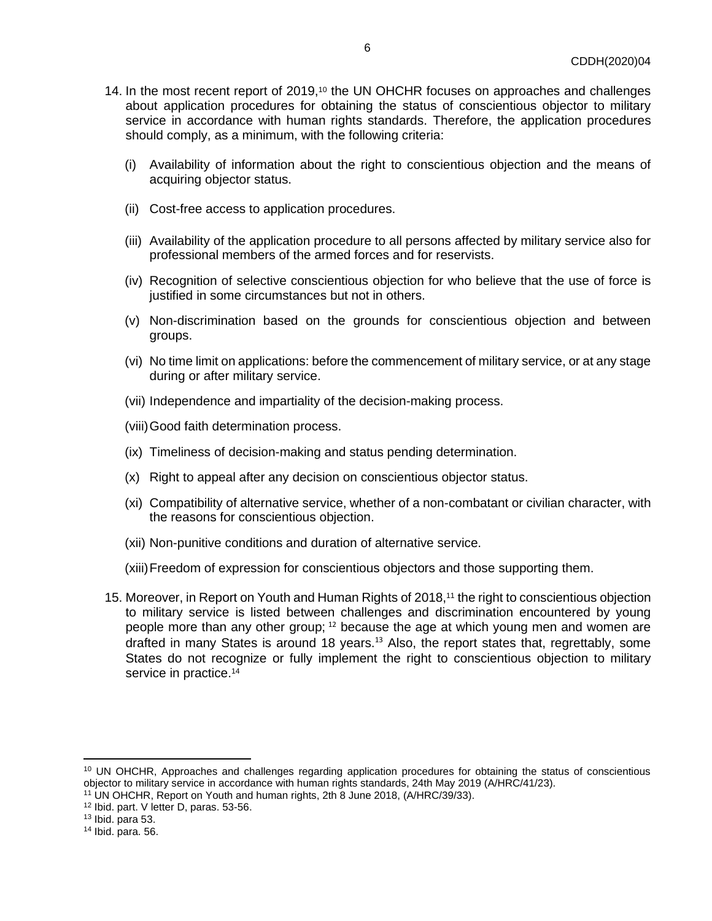- 14. In the most recent report of 2019,<sup>10</sup> the UN OHCHR focuses on approaches and challenges about application procedures for obtaining the status of conscientious objector to military service in accordance with human rights standards. Therefore, the application procedures should comply, as a minimum, with the following criteria:
	- (i) Availability of information about the right to conscientious objection and the means of acquiring objector status.
	- (ii) Cost-free access to application procedures.
	- (iii) Availability of the application procedure to all persons affected by military service also for professional members of the armed forces and for reservists.
	- (iv) Recognition of selective conscientious objection for who believe that the use of force is justified in some circumstances but not in others.
	- (v) Non-discrimination based on the grounds for conscientious objection and between groups.
	- (vi) No time limit on applications: before the commencement of military service, or at any stage during or after military service.
	- (vii) Independence and impartiality of the decision-making process.
	- (viii)Good faith determination process.
	- (ix) Timeliness of decision-making and status pending determination.
	- (x) Right to appeal after any decision on conscientious objector status.
	- (xi) Compatibility of alternative service, whether of a non-combatant or civilian character, with the reasons for conscientious objection.
	- (xii) Non-punitive conditions and duration of alternative service.
	- (xiii)Freedom of expression for conscientious objectors and those supporting them.
- 15. Moreover, in Report on Youth and Human Rights of 2018,<sup>11</sup> the right to conscientious objection to military service is listed between challenges and discrimination encountered by young people more than any other group; <sup>12</sup> because the age at which young men and women are drafted in many States is around 18 years.<sup>13</sup> Also, the report states that, regrettably, some States do not recognize or fully implement the right to conscientious objection to military service in practice.<sup>14</sup>

<sup>&</sup>lt;sup>10</sup> UN OHCHR, Approaches and challenges regarding application procedures for obtaining the status of conscientious objector to military service in accordance with human rights standards, 24th May 2019 (A/HRC/41/23).

<sup>11</sup> UN OHCHR, Report on Youth and human rights, 2th 8 June 2018, (A/HRC/39/33).

<sup>12</sup> Ibid. part. V letter D, paras. 53-56.

 $13$  Ibid. para 53.

<sup>14</sup> Ibid. para. 56.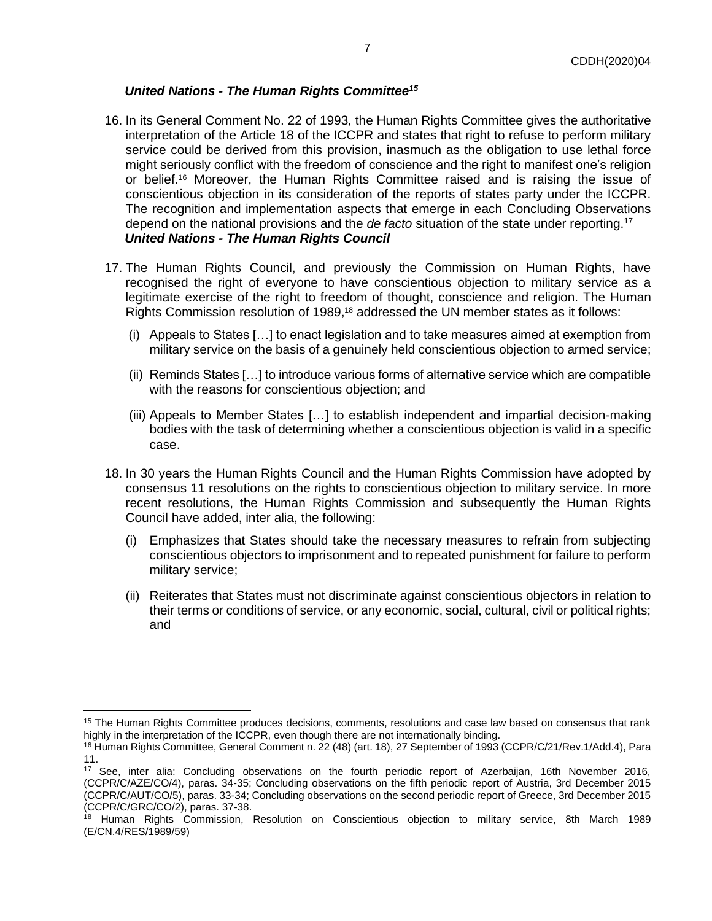# *United Nations - The Human Rights Committee<sup>15</sup>*

- 16. In its General Comment No. 22 of 1993, the Human Rights Committee gives the authoritative interpretation of the Article 18 of the ICCPR and states that right to refuse to perform military service could be derived from this provision, inasmuch as the obligation to use lethal force might seriously conflict with the freedom of conscience and the right to manifest one's religion or belief.<sup>16</sup> Moreover, the Human Rights Committee raised and is raising the issue of conscientious objection in its consideration of the reports of states party under the ICCPR. The recognition and implementation aspects that emerge in each Concluding Observations depend on the national provisions and the *de facto* situation of the state under reporting.<sup>17</sup> *United Nations - The Human Rights Council*
- 17. The Human Rights Council, and previously the Commission on Human Rights, have recognised the right of everyone to have conscientious objection to military service as a legitimate exercise of the right to freedom of thought, conscience and religion. The Human Rights Commission resolution of 1989,<sup>18</sup> addressed the UN member states as it follows:
	- (i) Appeals to States […] to enact legislation and to take measures aimed at exemption from military service on the basis of a genuinely held conscientious objection to armed service;
	- (ii) Reminds States […] to introduce various forms of alternative service which are compatible with the reasons for conscientious objection; and
	- (iii) Appeals to Member States […] to establish independent and impartial decision-making bodies with the task of determining whether a conscientious objection is valid in a specific case.
- 18. In 30 years the Human Rights Council and the Human Rights Commission have adopted by consensus 11 resolutions on the rights to conscientious objection to military service. In more recent resolutions, the Human Rights Commission and subsequently the Human Rights Council have added, inter alia, the following:
	- (i) Emphasizes that States should take the necessary measures to refrain from subjecting conscientious objectors to imprisonment and to repeated punishment for failure to perform military service;
	- (ii) Reiterates that States must not discriminate against conscientious objectors in relation to their terms or conditions of service, or any economic, social, cultural, civil or political rights; and

<sup>&</sup>lt;sup>15</sup> The Human Rights Committee produces decisions, comments, resolutions and case law based on consensus that rank highly in the interpretation of the ICCPR, even though there are not internationally binding.

<sup>16</sup> Human Rights Committee, General Comment n. 22 (48) (art. 18), 27 September of 1993 (CCPR/C/21/Rev.1/Add.4), Para 11.

<sup>17</sup> See, inter alia: Concluding observations on the fourth periodic report of Azerbaijan, 16th November 2016, (CCPR/C/AZE/CO/4), paras. 34-35; Concluding observations on the fifth periodic report of Austria, 3rd December 2015 (CCPR/C/AUT/CO/5), paras. 33-34; Concluding observations on the second periodic report of Greece, 3rd December 2015 (CCPR/C/GRC/CO/2), paras. 37-38.

<sup>&</sup>lt;sup>18</sup> Human Rights Commission, Resolution on Conscientious objection to military service, 8th March 1989 (E/CN.4/RES/1989/59)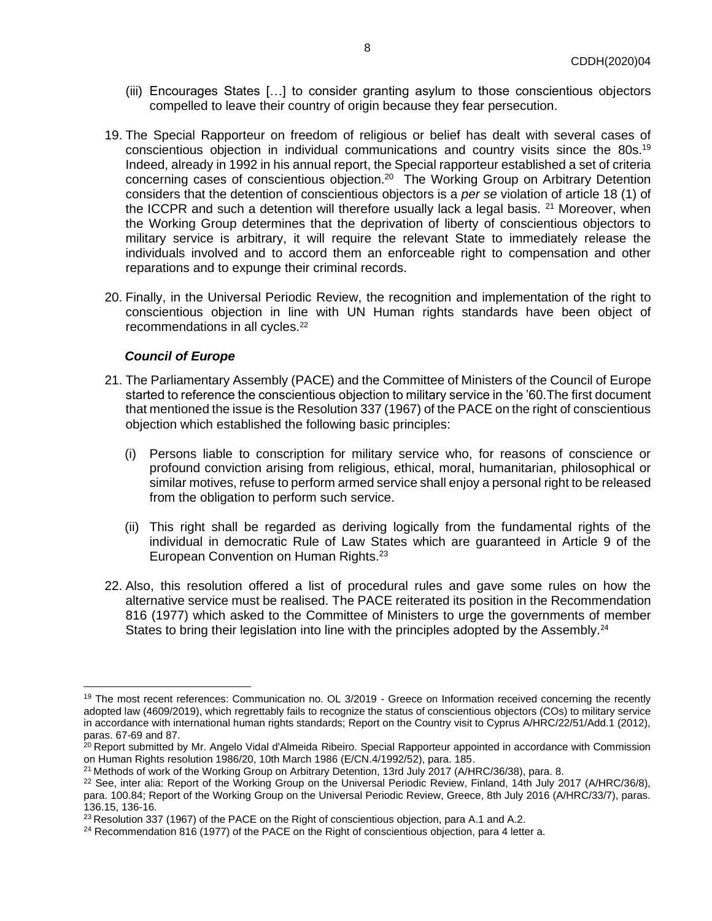- (iii) Encourages States […] to consider granting asylum to those conscientious objectors compelled to leave their country of origin because they fear persecution.
- 19. The Special Rapporteur on freedom of religious or belief has dealt with several cases of conscientious objection in individual communications and country visits since the 80s.<sup>19</sup> Indeed, already in 1992 in his annual report, the Special rapporteur established a set of criteria concerning cases of conscientious objection.<sup>20</sup> The Working Group on Arbitrary Detention considers that the detention of conscientious objectors is a *per se* violation of article 18 (1) of the ICCPR and such a detention will therefore usually lack a legal basis.  $21$  Moreover, when the Working Group determines that the deprivation of liberty of conscientious objectors to military service is arbitrary, it will require the relevant State to immediately release the individuals involved and to accord them an enforceable right to compensation and other reparations and to expunge their criminal records.
- 20. Finally, in the Universal Periodic Review, the recognition and implementation of the right to conscientious objection in line with UN Human rights standards have been object of recommendations in all cycles.<sup>22</sup>

#### *Council of Europe*

- 21. The Parliamentary Assembly (PACE) and the Committee of Ministers of the Council of Europe started to reference the conscientious objection to military service in the '60.The first document that mentioned the issue is the Resolution 337 (1967) of the PACE on the right of conscientious objection which established the following basic principles:
	- (i) Persons liable to conscription for military service who, for reasons of conscience or profound conviction arising from religious, ethical, moral, humanitarian, philosophical or similar motives, refuse to perform armed service shall enjoy a personal right to be released from the obligation to perform such service.
	- (ii) This right shall be regarded as deriving logically from the fundamental rights of the individual in democratic Rule of Law States which are guaranteed in Article 9 of the European Convention on Human Rights.<sup>23</sup>
- 22. Also, this resolution offered a list of procedural rules and gave some rules on how the alternative service must be realised. The PACE reiterated its position in the Recommendation 816 (1977) which asked to the Committee of Ministers to urge the governments of member States to bring their legislation into line with the principles adopted by the Assembly.<sup>24</sup>

<sup>&</sup>lt;sup>19</sup> The most recent references: Communication no. OL 3/2019 - Greece on Information received concerning the recently adopted law (4609/2019), which regrettably fails to recognize the status of conscientious objectors (COs) to military service in accordance with international human rights standards; Report on the Country visit to Cyprus A/HRC/22/51/Add.1 (2012), paras. 67-69 and 87.

<sup>&</sup>lt;sup>20</sup> Report submitted by Mr. Angelo Vidal d'Almeida Ribeiro. Special Rapporteur appointed in accordance with Commission on Human Rights resolution 1986/20, 10th March 1986 (E/CN.4/1992/52), para. 185.

<sup>&</sup>lt;sup>21</sup> Methods of work of the Working Group on Arbitrary Detention, 13rd July 2017 (A/HRC/36/38), para. 8.

<sup>&</sup>lt;sup>22</sup> See, inter alia: Report of the Working Group on the Universal Periodic Review, Finland, 14th July 2017 (A/HRC/36/8), para. 100.84; Report of the Working Group on the Universal Periodic Review, Greece, 8th July 2016 (A/HRC/33/7), paras. 136.15, 136-16.

<sup>&</sup>lt;sup>23</sup> Resolution 337 (1967) of the PACE on the Right of conscientious objection, para A.1 and A.2.

<sup>&</sup>lt;sup>24</sup> Recommendation 816 (1977) of the PACE on the Right of conscientious objection, para 4 letter a.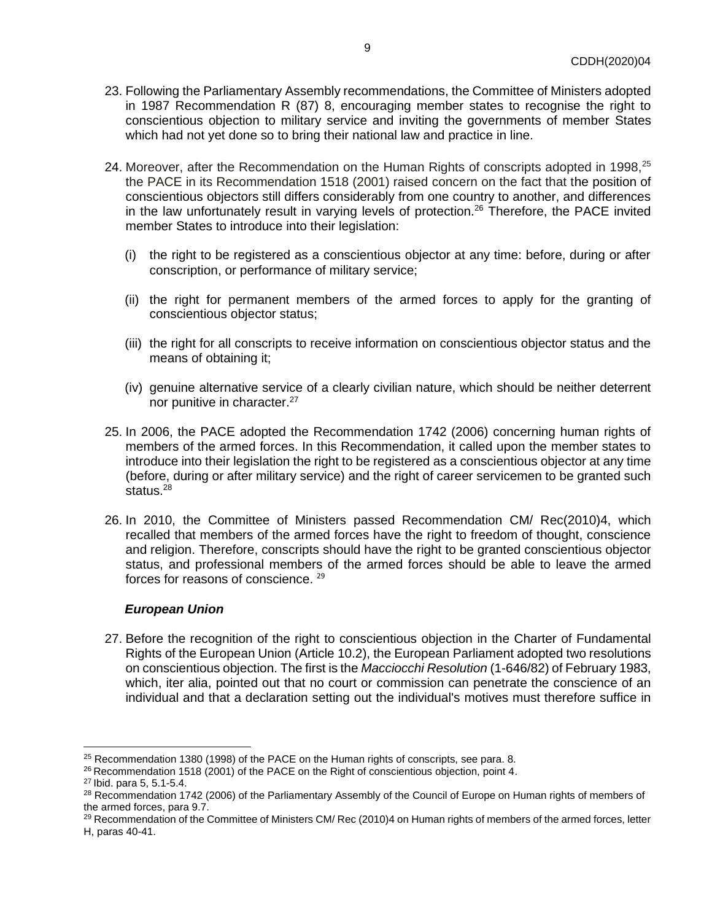- 23. Following the Parliamentary Assembly recommendations, the Committee of Ministers adopted in 1987 Recommendation R (87) 8, encouraging member states to recognise the right to conscientious objection to military service and inviting the governments of member States which had not yet done so to bring their national law and practice in line.
- 24. Moreover, after the Recommendation on the Human Rights of conscripts adopted in 1998,<sup>25</sup> the PACE in its Recommendation 1518 (2001) raised concern on the fact that the position of conscientious objectors still differs considerably from one country to another, and differences in the law unfortunately result in varying levels of protection.<sup>26</sup> Therefore, the PACE invited member States to introduce into their legislation:
	- (i) the right to be registered as a conscientious objector at any time: before, during or after conscription, or performance of military service;
	- (ii) the right for permanent members of the armed forces to apply for the granting of conscientious objector status;
	- (iii) the right for all conscripts to receive information on conscientious objector status and the means of obtaining it;
	- (iv) genuine alternative service of a clearly civilian nature, which should be neither deterrent nor punitive in character.<sup>27</sup>
- 25. In 2006, the PACE adopted the Recommendation 1742 (2006) concerning human rights of members of the armed forces. In this Recommendation, it called upon the member states to introduce into their legislation the right to be registered as a conscientious objector at any time (before, during or after military service) and the right of career servicemen to be granted such status.<sup>28</sup>
- 26. In 2010, the Committee of Ministers passed Recommendation CM/ Rec(2010)4, which recalled that members of the armed forces have the right to freedom of thought, conscience and religion. Therefore, conscripts should have the right to be granted conscientious objector status, and professional members of the armed forces should be able to leave the armed forces for reasons of conscience. <sup>29</sup>

#### *European Union*

27. Before the recognition of the right to conscientious objection in the Charter of Fundamental Rights of the European Union (Article 10.2), the European Parliament adopted two resolutions on conscientious objection. The first is the *Macciocchi Resolution* (1-646/82) of February 1983, which, iter alia, pointed out that no court or commission can penetrate the conscience of an individual and that a declaration setting out the individual's motives must therefore suffice in

<sup>&</sup>lt;sup>25</sup> Recommendation 1380 (1998) of the PACE on the Human rights of conscripts, see para. 8.

<sup>&</sup>lt;sup>26</sup> Recommendation 1518 (2001) of the PACE on the Right of conscientious objection, point 4.

<sup>27</sup> Ibid. para 5, 5.1-5.4.

<sup>&</sup>lt;sup>28</sup> Recommendation 1742 (2006) of the Parliamentary Assembly of the Council of Europe on Human rights of members of the armed forces, para 9.7.

<sup>&</sup>lt;sup>29</sup> Recommendation of the Committee of Ministers CM/ Rec (2010)4 on Human rights of members of the armed forces, letter H, paras 40-41.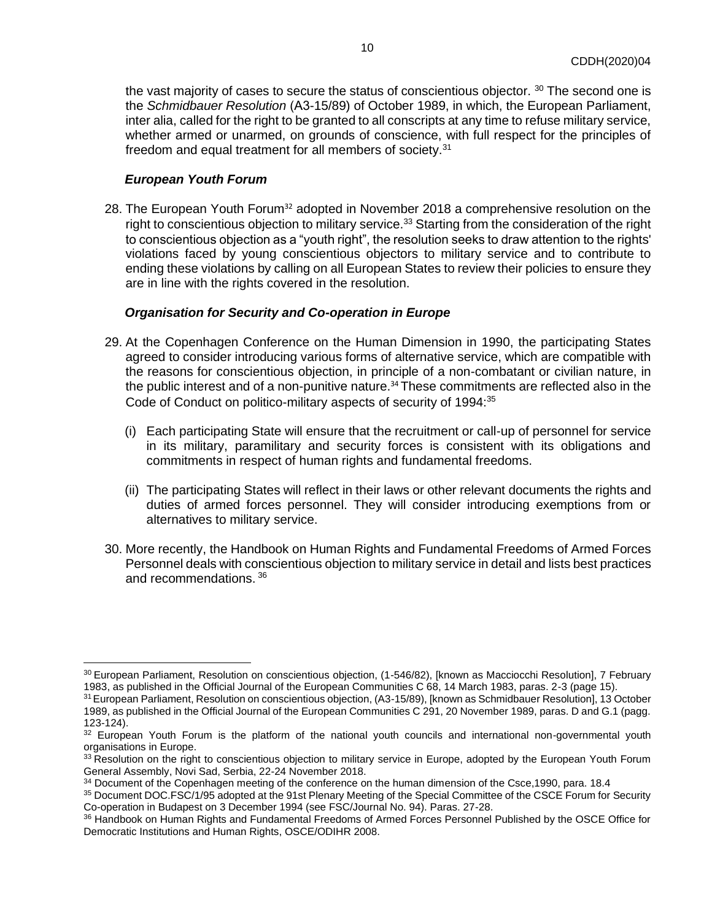the vast majority of cases to secure the status of conscientious objector.  $30$  The second one is the *Schmidbauer Resolution* (Α3-15/89) of October 1989, in which, the European Parliament, inter alia, called for the right to be granted to all conscripts at any time to refuse military service, whether armed or unarmed, on grounds of conscience, with full respect for the principles of freedom and equal treatment for all members of society.<sup>31</sup>

#### *European Youth Forum*

28. The European Youth Forum<sup>32</sup> adopted in November 2018 a comprehensive resolution on the right to conscientious objection to military service.<sup>33</sup> Starting from the consideration of the right to conscientious objection as a "youth right", the resolution seeks to draw attention to the rights' violations faced by young conscientious objectors to military service and to contribute to ending these violations by calling on all European States to review their policies to ensure they are in line with the rights covered in the resolution.

#### *Organisation for Security and Co-operation in Europe*

- 29. At the Copenhagen Conference on the Human Dimension in 1990, the participating States agreed to consider introducing various forms of alternative service, which are compatible with the reasons for conscientious objection, in principle of a non-combatant or civilian nature, in the public interest and of a non-punitive nature.<sup>34</sup> These commitments are reflected also in the Code of Conduct on politico-military aspects of security of 1994:<sup>35</sup>
	- (i) Each participating State will ensure that the recruitment or call-up of personnel for service in its military, paramilitary and security forces is consistent with its obligations and commitments in respect of human rights and fundamental freedoms.
	- (ii) The participating States will reflect in their laws or other relevant documents the rights and duties of armed forces personnel. They will consider introducing exemptions from or alternatives to military service.
- 30. More recently, the Handbook on Human Rights and Fundamental Freedoms of Armed Forces Personnel deals with conscientious objection to military service in detail and lists best practices and recommendations. <sup>36</sup>

<sup>&</sup>lt;sup>30</sup> European Parliament, Resolution on conscientious objection, (1-546/82), [known as Macciocchi Resolution], 7 February 1983, as published in the Official Journal of the European Communities C 68, 14 March 1983, paras. 2-3 (page 15).

<sup>31</sup> European Parliament, Resolution on conscientious objection, (A3-15/89), [known as Schmidbauer Resolution], 13 October 1989, as published in the Official Journal of the European Communities C 291, 20 November 1989, paras. D and G.1 (pagg. 123-124).

<sup>32</sup> European Youth Forum is the platform of the national youth councils and international non-governmental youth organisations in Europe.

<sup>33</sup> Resolution on the right to conscientious objection to military service in Europe, adopted by the European Youth Forum General Assembly, Novi Sad, Serbia, 22-24 November 2018.

<sup>&</sup>lt;sup>34</sup> Document of the Copenhagen meeting of the conference on the human dimension of the Csce,1990, para. 18.4

<sup>35</sup> Document DOC.FSC/1/95 adopted at the 91st Plenary Meeting of the Special Committee of the CSCE Forum for Security Co-operation in Budapest on 3 December 1994 (see FSC/Journal No. 94). Paras. 27-28.

<sup>36</sup> Handbook on Human Rights and Fundamental Freedoms of Armed Forces Personnel Published by the OSCE Office for Democratic Institutions and Human Rights, OSCE/ODIHR 2008.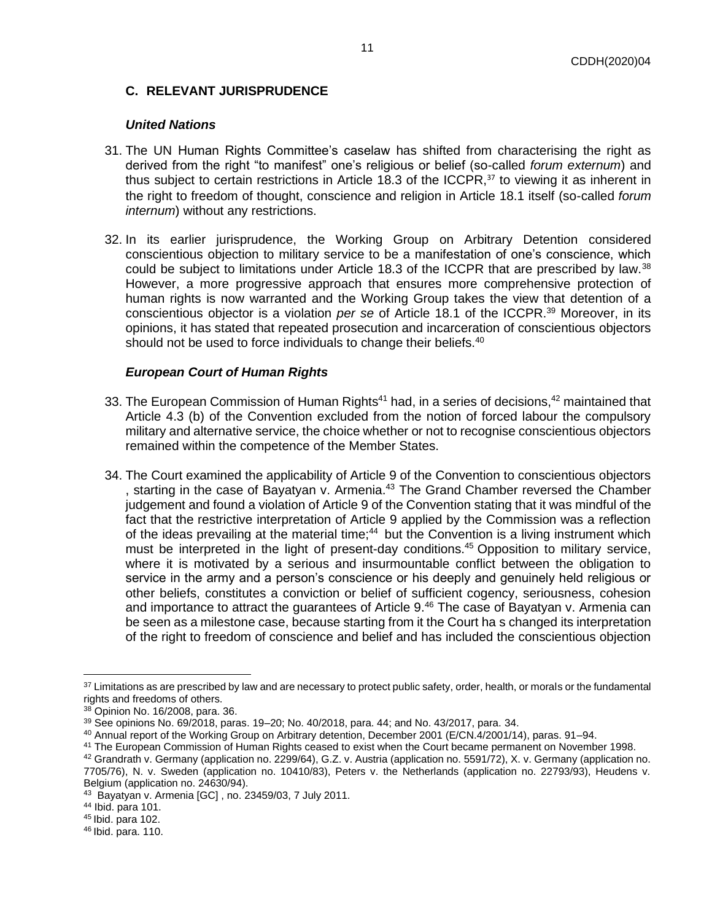# <span id="page-10-0"></span>**C. RELEVANT JURISPRUDENCE**

### *United Nations*

- 31. The UN Human Rights Committee's caselaw has shifted from characterising the right as derived from the right "to manifest" one's religious or belief (so-called *forum externum*) and thus subject to certain restrictions in Article 18.3 of the ICCPR, $37$  to viewing it as inherent in the right to freedom of thought, conscience and religion in Article 18.1 itself (so-called *forum internum*) without any restrictions.
- 32. In its earlier jurisprudence, the Working Group on Arbitrary Detention considered conscientious objection to military service to be a manifestation of one's conscience, which could be subject to limitations under Article 18.3 of the ICCPR that are prescribed by law.<sup>38</sup> However, a more progressive approach that ensures more comprehensive protection of human rights is now warranted and the Working Group takes the view that detention of a conscientious objector is a violation *per se* of Article 18.1 of the ICCPR.<sup>39</sup> Moreover, in its opinions, it has stated that repeated prosecution and incarceration of conscientious objectors should not be used to force individuals to change their beliefs.<sup>40</sup>

## *European Court of Human Rights*

- 33. The European Commission of Human Rights<sup>41</sup> had, in a series of decisions,<sup>42</sup> maintained that Article 4.3 (b) of the Convention excluded from the notion of forced labour the compulsory military and alternative service, the choice whether or not to recognise conscientious objectors remained within the competence of the Member States.
- 34. The Court examined the applicability of Article 9 of the Convention to conscientious objectors , starting in the case of Bayatyan v. Armenia.<sup>43</sup> The Grand Chamber reversed the Chamber judgement and found a violation of Article 9 of the Convention stating that it was mindful of the fact that the restrictive interpretation of Article 9 applied by the Commission was a reflection of the ideas prevailing at the material time;<sup>44</sup> but the Convention is a living instrument which must be interpreted in the light of present-day conditions.<sup>45</sup> Opposition to military service, where it is motivated by a serious and insurmountable conflict between the obligation to service in the army and a person's conscience or his deeply and genuinely held religious or other beliefs, constitutes a conviction or belief of sufficient cogency, seriousness, cohesion and importance to attract the guarantees of Article  $9<sup>46</sup>$  The case of Bayatyan v. Armenia can be seen as a milestone case, because starting from it the Court ha s changed its interpretation of the right to freedom of conscience and belief and has included the conscientious objection

<sup>&</sup>lt;sup>37</sup> Limitations as are prescribed by law and are necessary to protect public safety, order, health, or morals or the fundamental rights and freedoms of others.

<sup>38</sup> Opinion No. 16/2008, para. 36.

 $39$  See opinions No. 69/2018, paras. 19–20; No. 40/2018, para. 44; and No. 43/2017, para. 34.

<sup>40</sup> Annual report of the Working Group on Arbitrary detention, December 2001 (E/CN.4/2001/14), paras. 91–94.

<sup>41</sup> The European Commission of Human Rights ceased to exist when the Court became permanent on November 1998.

<sup>42</sup> Grandrath v. Germany (application no. 2299/64), G.Z. v. Austria (application no. 5591/72), X. v. Germany (application no. 7705/76), N. v. Sweden (application no. 10410/83), Peters v. the Netherlands (application no. 22793/93), Heudens v. Belgium (application no. 24630/94).

<sup>43</sup> Bayatyan v. Armenia [GC] , no. 23459/03, 7 July 2011.

<sup>44</sup> Ibid. para 101.

<sup>45</sup> Ibid. para 102.

<sup>46</sup> Ibid. para. 110.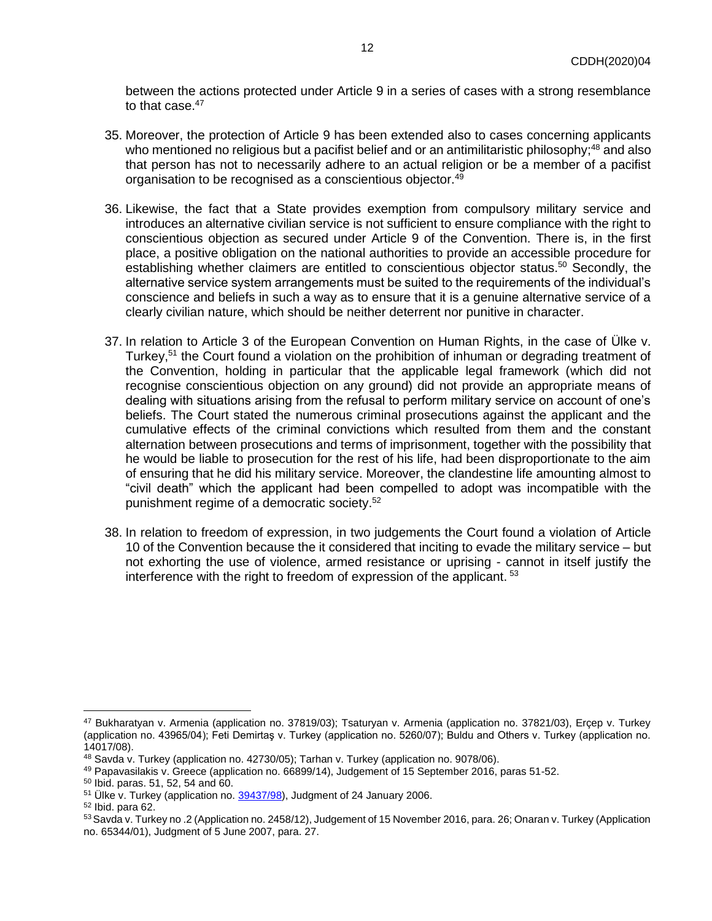between the actions protected under Article 9 in a series of cases with a strong resemblance to that case.<sup>47</sup>

- 35. Moreover, the protection of Article 9 has been extended also to cases concerning applicants who mentioned no religious but a pacifist belief and or an antimilitaristic philosophy:<sup>48</sup> and also that person has not to necessarily adhere to an actual religion or be a member of a pacifist organisation to be recognised as a conscientious objector.<sup>49</sup>
- 36. Likewise, the fact that a State provides exemption from compulsory military service and introduces an alternative civilian service is not sufficient to ensure compliance with the right to conscientious objection as secured under Article 9 of the Convention. There is, in the first place, a positive obligation on the national authorities to provide an accessible procedure for establishing whether claimers are entitled to conscientious objector status.<sup>50</sup> Secondly, the alternative service system arrangements must be suited to the requirements of the individual's conscience and beliefs in such a way as to ensure that it is a genuine alternative service of a clearly civilian nature, which should be neither deterrent nor punitive in character.
- 37. In relation to Article 3 of the European Convention on Human Rights, in the case of Ülke v. Turkey,<sup>51</sup> the Court found a violation on the prohibition of inhuman or degrading treatment of the Convention, holding in particular that the applicable legal framework (which did not recognise conscientious objection on any ground) did not provide an appropriate means of dealing with situations arising from the refusal to perform military service on account of one's beliefs. The Court stated the numerous criminal prosecutions against the applicant and the cumulative effects of the criminal convictions which resulted from them and the constant alternation between prosecutions and terms of imprisonment, together with the possibility that he would be liable to prosecution for the rest of his life, had been disproportionate to the aim of ensuring that he did his military service. Moreover, the clandestine life amounting almost to "civil death" which the applicant had been compelled to adopt was incompatible with the punishment regime of a democratic society.<sup>52</sup>
- 38. In relation to freedom of expression, in two judgements the Court found a violation of Article 10 of the Convention because the it considered that inciting to evade the military service – but not exhorting the use of violence, armed resistance or uprising - cannot in itself justify the interference with the right to freedom of expression of the applicant.<sup>53</sup>

<sup>47</sup> Bukharatyan v. Armenia (application no. 37819/03); Tsaturyan v. Armenia (application no. 37821/03), Erçep v. Turkey (application no. 43965/04); Feti Demirtaş v. Turkey (application no. 5260/07); Buldu and Others v. Turkey (application no. 14017/08).

<sup>48</sup> Savda v. Turkey (application no. 42730/05); Tarhan v. Turkey (application no. 9078/06).

<sup>49</sup> Papavasilakis v. Greece (application no. 66899/14), Judgement of 15 September 2016, paras 51-52.

<sup>50</sup> Ibid. paras. 51, 52, 54 and 60.

<sup>&</sup>lt;sup>51</sup> Ülke v. Turkey (application no[. 39437/98\)](https://hudoc.echr.coe.int/eng#{"appno":["39437/98"]}), Judgment of 24 January 2006.

<sup>52</sup> Ibid. para 62.

<sup>53</sup> Savda v. Turkey no .2 (Application no. 2458/12), Judgement of 15 November 2016, para. 26; Onaran v. Turkey (Application no. 65344/01), Judgment of 5 June 2007, para. 27.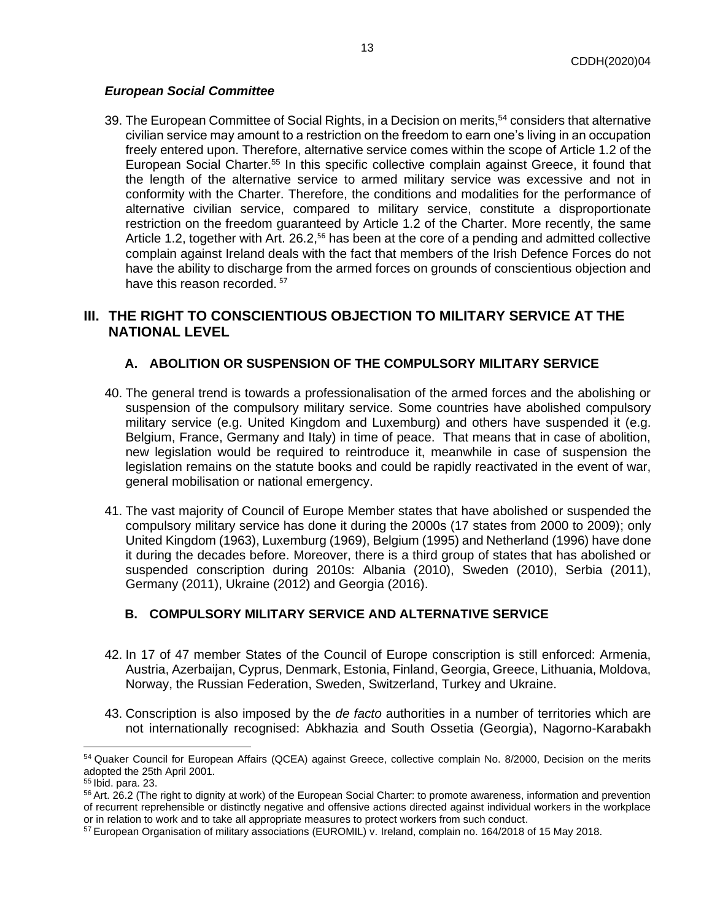# *European Social Committee*

39. The European Committee of Social Rights, in a Decision on merits,<sup>54</sup> considers that alternative civilian service may amount to a restriction on the freedom to earn one's living in an occupation freely entered upon. Therefore, alternative service comes within the scope of Article 1.2 of the European Social Charter.<sup>55</sup> In this specific collective complain against Greece, it found that the length of the alternative service to armed military service was excessive and not in conformity with the Charter. Therefore, the conditions and modalities for the performance of alternative civilian service, compared to military service, constitute a disproportionate restriction on the freedom guaranteed by Article 1.2 of the Charter. More recently, the same Article 1.2, together with Art. 26.2,<sup>56</sup> has been at the core of a pending and admitted collective complain against Ireland deals with the fact that members of the Irish Defence Forces do not have the ability to discharge from the armed forces on grounds of conscientious objection and have this reason recorded.<sup>57</sup>

# <span id="page-12-0"></span>**III. THE RIGHT TO CONSCIENTIOUS OBJECTION TO MILITARY SERVICE AT THE NATIONAL LEVEL**

# **A. ABOLITION OR SUSPENSION OF THE COMPULSORY MILITARY SERVICE**

- <span id="page-12-1"></span>40. The general trend is towards a professionalisation of the armed forces and the abolishing or suspension of the compulsory military service. Some countries have abolished compulsory military service (e.g. United Kingdom and Luxemburg) and others have suspended it (e.g. Belgium, France, Germany and Italy) in time of peace. That means that in case of abolition, new legislation would be required to reintroduce it, meanwhile in case of suspension the legislation remains on the statute books and could be rapidly reactivated in the event of war, general mobilisation or national emergency.
- 41. The vast majority of Council of Europe Member states that have abolished or suspended the compulsory military service has done it during the 2000s (17 states from 2000 to 2009); only United Kingdom (1963), Luxemburg (1969), Belgium (1995) and Netherland (1996) have done it during the decades before. Moreover, there is a third group of states that has abolished or suspended conscription during 2010s: Albania (2010), Sweden (2010), Serbia (2011), Germany (2011), Ukraine (2012) and Georgia (2016).

# **B. COMPULSORY MILITARY SERVICE AND ALTERNATIVE SERVICE**

- 42. In 17 of 47 member States of the Council of Europe conscription is still enforced: Armenia, Austria, Azerbaijan, Cyprus, Denmark, Estonia, Finland, Georgia, Greece, Lithuania, Moldova, Norway, the Russian Federation, Sweden, Switzerland, Turkey and Ukraine.
- 43. Conscription is also imposed by the *de facto* authorities in a number of territories which are not internationally recognised: Abkhazia and South Ossetia (Georgia), Nagorno-Karabakh

<sup>54</sup> Quaker Council for European Affairs (QCEA) against Greece, collective complain No. 8/2000, Decision on the merits adopted the 25th April 2001.

<sup>55</sup> Ibid. para. 23.

<sup>&</sup>lt;sup>56</sup> Art. 26.2 (The right to dignity at work) of the European Social Charter: to promote awareness, information and prevention of recurrent reprehensible or distinctly negative and offensive actions directed against individual workers in the workplace or in relation to work and to take all appropriate measures to protect workers from such conduct.

<sup>57</sup> European Organisation of military associations (EUROMIL) v. Ireland, complain no. 164/2018 of 15 May 2018.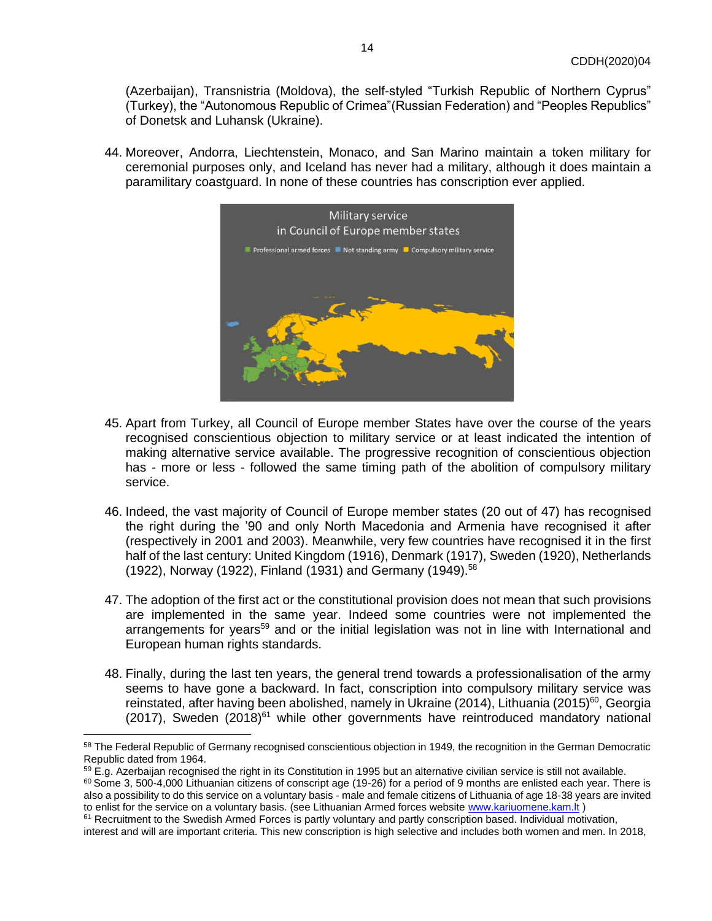(Azerbaijan), Transnistria (Moldova), the self-styled "Turkish Republic of Northern Cyprus" (Turkey), the "Autonomous Republic of Crimea"(Russian Federation) and "Peoples Republics" of Donetsk and Luhansk (Ukraine).

44. Moreover, Andorra, Liechtenstein, Monaco, and San Marino maintain a token military for ceremonial purposes only, and Iceland has never had a military, although it does maintain a paramilitary coastguard. In none of these countries has conscription ever applied.



- 45. Apart from Turkey, all Council of Europe member States have over the course of the years recognised conscientious objection to military service or at least indicated the intention of making alternative service available. The progressive recognition of conscientious objection has - more or less - followed the same timing path of the abolition of compulsory military service.
- 46. Indeed, the vast majority of Council of Europe member states (20 out of 47) has recognised the right during the '90 and only North Macedonia and Armenia have recognised it after (respectively in 2001 and 2003). Meanwhile, very few countries have recognised it in the first half of the last century: United Kingdom (1916), Denmark (1917), Sweden (1920), Netherlands (1922), Norway (1922), Finland (1931) and Germany (1949).<sup>58</sup>
- 47. The adoption of the first act or the constitutional provision does not mean that such provisions are implemented in the same year. Indeed some countries were not implemented the arrangements for years<sup>59</sup> and or the initial legislation was not in line with International and European human rights standards.
- 48. Finally, during the last ten years, the general trend towards a professionalisation of the army seems to have gone a backward. In fact, conscription into compulsory military service was reinstated, after having been abolished, namely in Ukraine (2014), Lithuania (2015)<sup>60</sup>, Georgia  $(2017)$ , Sweden  $(2018)^{61}$  while other governments have reintroduced mandatory national

<sup>58</sup> The Federal Republic of Germany recognised conscientious objection in 1949, the recognition in the German Democratic Republic dated from 1964.

<sup>&</sup>lt;sup>59</sup> E.g. Azerbaijan recognised the right in its Constitution in 1995 but an alternative civilian service is still not available.

 $60$  Some 3, 500-4,000 Lithuanian citizens of conscript age (19-26) for a period of 9 months are enlisted each year. There is also a possibility to do this service on a voluntary basis - male and female citizens of Lithuania of age 18-38 years are invited to enlist for the service on a voluntary basis. (see Lithuanian Armed forces website [www.kariuomene.kam.lt](http://www.kariuomene.kam.lt/))

 $61$  Recruitment to the Swedish Armed Forces is partly voluntary and partly conscription based. Individual motivation,

interest and will are important criteria. This new conscription is high selective and includes both women and men. In 2018,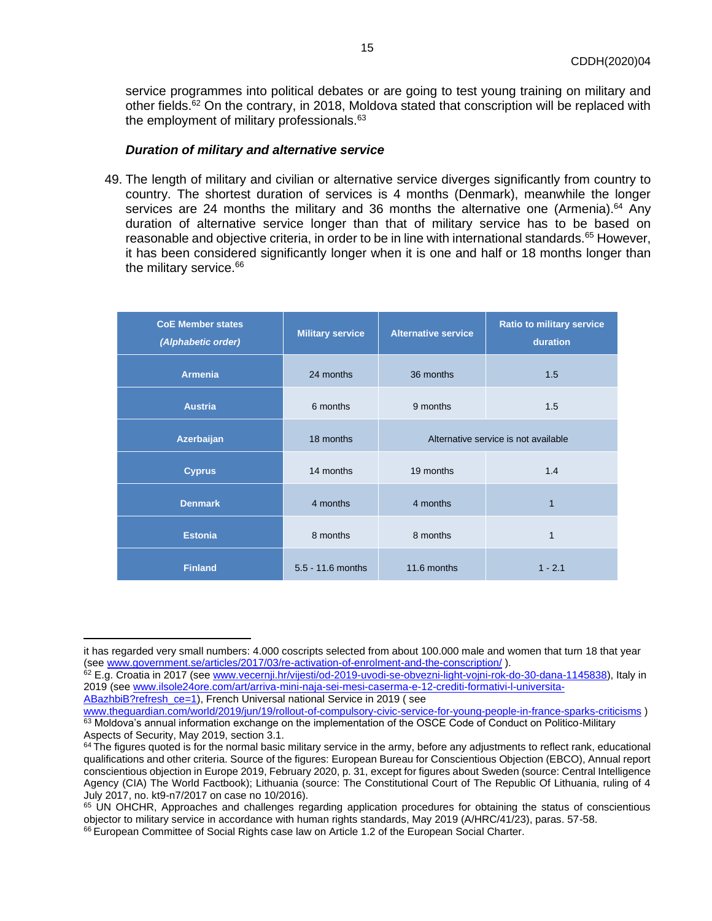service programmes into political debates or are going to test young training on military and other fields.<sup>62</sup> On the contrary, in 2018, Moldova stated that conscription will be replaced with the employment of military professionals.<sup>63</sup>

#### *Duration of military and alternative service*

49. The length of military and civilian or alternative service diverges significantly from country to country. The shortest duration of services is 4 months (Denmark), meanwhile the longer services are 24 months the military and 36 months the alternative one (Armenia).<sup>64</sup> Any duration of alternative service longer than that of military service has to be based on reasonable and objective criteria, in order to be in line with international standards.<sup>65</sup> However, it has been considered significantly longer when it is one and half or 18 months longer than the military service.<sup>66</sup>

| <b>CoE Member states</b><br>(Alphabetic order) | <b>Military service</b> | <b>Alternative service</b>           | <b>Ratio to military service</b><br>duration |
|------------------------------------------------|-------------------------|--------------------------------------|----------------------------------------------|
| <b>Armenia</b>                                 | 24 months               | 36 months                            | 1.5                                          |
| <b>Austria</b>                                 | 6 months                | 9 months                             | 1.5                                          |
| Azerbaijan                                     | 18 months               | Alternative service is not available |                                              |
| <b>Cyprus</b>                                  | 14 months               | 19 months                            | 1.4                                          |
| <b>Denmark</b>                                 | 4 months                | 4 months                             | 1                                            |
| <b>Estonia</b>                                 | 8 months                | 8 months                             | 1                                            |
| <b>Finland</b>                                 | 5.5 - 11.6 months       | 11.6 months                          | $1 - 2.1$                                    |

[ABazhbiB?refresh\\_ce=1\)](http://www.ilsole24ore.com/art/arriva-mini-naja-sei-mesi-caserma-e-12-crediti-formativi-l-universita-ABazhbiB?refresh_ce=1), French Universal national Service in 2019 ( see

it has regarded very small numbers: 4.000 coscripts selected from about 100.000 male and women that turn 18 that year (see [www.government.se/articles/2017/03/re-activation-of-enrolment-and-the-conscription/](http://www.government.se/articles/2017/03/re-activation-of-enrolment-and-the-conscription/) ).

<sup>62</sup> E.g. Croatia in 2017 (see [www.vecernji.hr/vijesti/od-2019-uvodi-se-obvezni-light-vojni-rok-do-30-dana-1145838\)](http://www.vecernji.hr/vijesti/od-2019-uvodi-se-obvezni-light-vojni-rok-do-30-dana-1145838), Italy in 2019 (se[e www.ilsole24ore.com/art/arriva-mini-naja-sei-mesi-caserma-e-12-crediti-formativi-l-universita-](http://www.ilsole24ore.com/art/arriva-mini-naja-sei-mesi-caserma-e-12-crediti-formativi-l-universita-ABazhbiB?refresh_ce=1)

[www.theguardian.com/world/2019/jun/19/rollout-of-compulsory-civic-service-for-young-people-in-france-sparks-criticisms](http://www.theguardian.com/world/2019/jun/19/rollout-of-compulsory-civic-service-for-young-people-in-france-sparks-criticisms) ) 63 Moldova's annual information exchange on the implementation of the OSCE Code of Conduct on Politico-Military Aspects of Security, May 2019, section 3.1.

<sup>&</sup>lt;sup>64</sup> The figures quoted is for the normal basic military service in the army, before any adjustments to reflect rank, educational qualifications and other criteria. Source of the figures: European Bureau for Conscientious Objection (EBCO), Annual report conscientious objection in Europe 2019, February 2020, p. 31, except for figures about Sweden (source: Central Intelligence Agency (CIA) The World Factbook); Lithuania (source: The Constitutional Court of The Republic Of Lithuania, ruling of 4 July 2017, no. kt9-n7/2017 on case no 10/2016).

<sup>&</sup>lt;sup>65</sup> UN OHCHR, Approaches and challenges regarding application procedures for obtaining the status of conscientious objector to military service in accordance with human rights standards, May 2019 (A/HRC/41/23), paras. 57-58. <sup>66</sup> European Committee of Social Rights case law on Article 1.2 of the European Social Charter.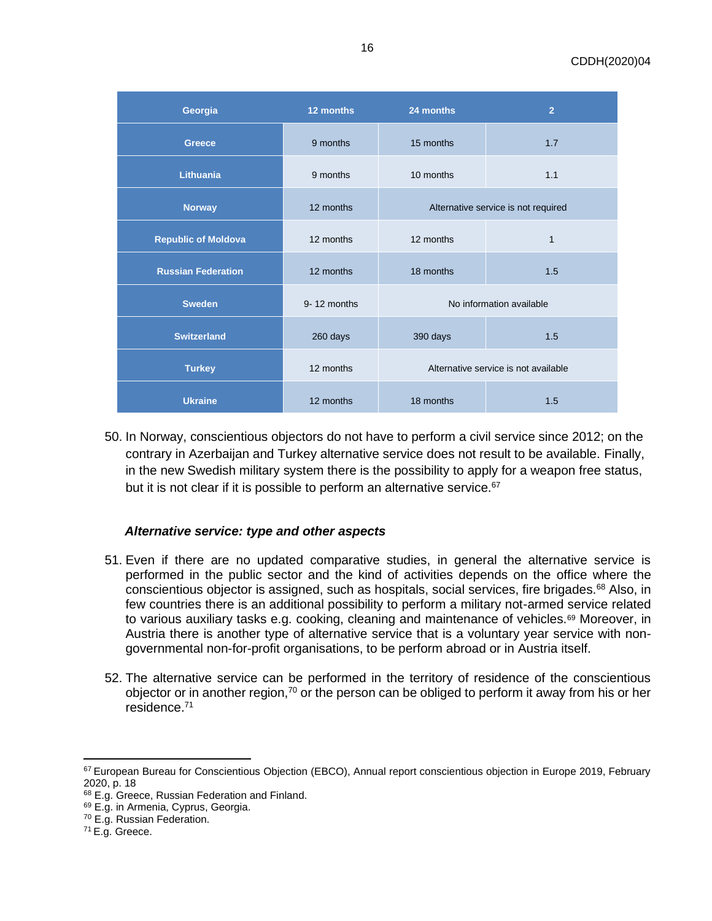| Georgia                    | 12 months   | 24 months                            | $\overline{2}$ |
|----------------------------|-------------|--------------------------------------|----------------|
| <b>Greece</b>              | 9 months    | 15 months                            | 1.7            |
| <b>Lithuania</b>           | 9 months    | 10 months                            | 1.1            |
| <b>Norway</b>              | 12 months   | Alternative service is not required  |                |
| <b>Republic of Moldova</b> | 12 months   | 12 months                            | $\mathbf{1}$   |
| <b>Russian Federation</b>  | 12 months   | 18 months                            | 1.5            |
| <b>Sweden</b>              | 9-12 months | No information available             |                |
| <b>Switzerland</b>         | 260 days    | 390 days                             | 1.5            |
| <b>Turkey</b>              | 12 months   | Alternative service is not available |                |
| <b>Ukraine</b>             | 12 months   | 18 months                            | 1.5            |

50. In Norway, conscientious objectors do not have to perform a civil service since 2012; on the contrary in Azerbaijan and Turkey alternative service does not result to be available. Finally, in the new Swedish military system there is the possibility to apply for a weapon free status, but it is not clear if it is possible to perform an alternative service.<sup>67</sup>

# *Alternative service: type and other aspects*

- 51. Even if there are no updated comparative studies, in general the alternative service is performed in the public sector and the kind of activities depends on the office where the conscientious objector is assigned, such as hospitals, social services, fire brigades.<sup>68</sup> Also, in few countries there is an additional possibility to perform a military not-armed service related to various auxiliary tasks e.g. cooking, cleaning and maintenance of vehicles.<sup>69</sup> Moreover, in Austria there is another type of alternative service that is a voluntary year service with nongovernmental non-for-profit organisations, to be perform abroad or in Austria itself.
- 52. The alternative service can be performed in the territory of residence of the conscientious objector or in another region,<sup>70</sup> or the person can be obliged to perform it away from his or her residence.<sup>71</sup>

<sup>67</sup> European Bureau for Conscientious Objection (EBCO), Annual report conscientious objection in Europe 2019, February 2020, p. 18

<sup>68</sup> E.g. Greece, Russian Federation and Finland.

<sup>&</sup>lt;sup>69</sup> E.g. in Armenia, Cyprus, Georgia.

<sup>70</sup> E.g. Russian Federation.

<sup>71</sup> E.g. Greece.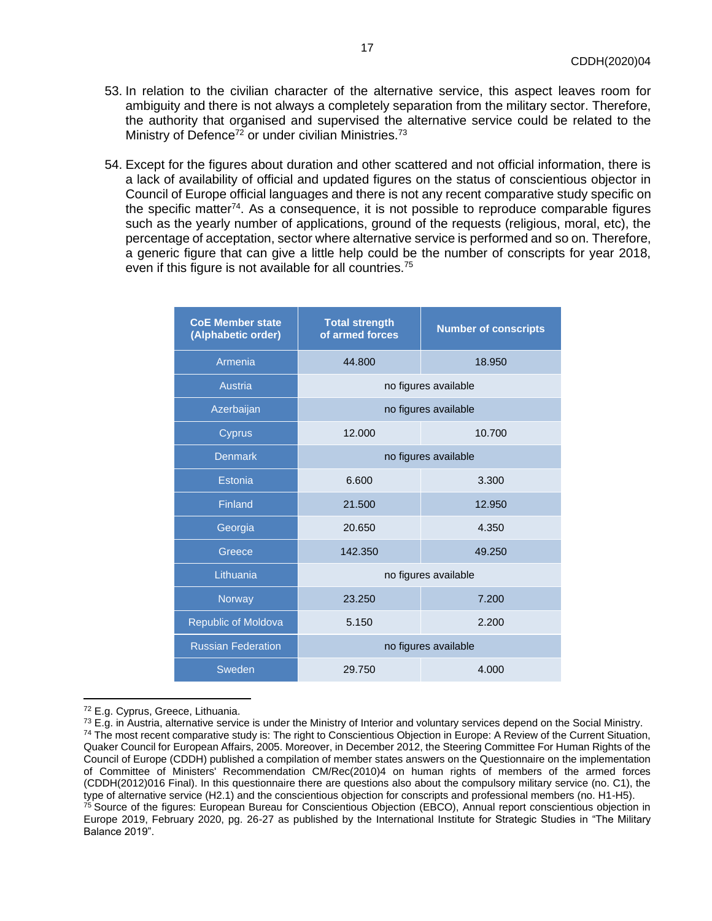- 53. In relation to the civilian character of the alternative service, this aspect leaves room for ambiguity and there is not always a completely separation from the military sector. Therefore, the authority that organised and supervised the alternative service could be related to the Ministry of Defence<sup>72</sup> or under civilian Ministries.<sup>73</sup>
- 54. Except for the figures about duration and other scattered and not official information, there is a lack of availability of official and updated figures on the status of conscientious objector in Council of Europe official languages and there is not any recent comparative study specific on the specific matter<sup>74</sup>. As a consequence, it is not possible to reproduce comparable figures such as the yearly number of applications, ground of the requests (religious, moral, etc), the percentage of acceptation, sector where alternative service is performed and so on. Therefore, a generic figure that can give a little help could be the number of conscripts for year 2018, even if this figure is not available for all countries.<sup>75</sup>

| <b>CoE Member state</b><br>(Alphabetic order) | <b>Total strength</b><br>of armed forces | <b>Number of conscripts</b> |  |
|-----------------------------------------------|------------------------------------------|-----------------------------|--|
| Armenia                                       | 44.800                                   | 18.950                      |  |
| Austria                                       | no figures available                     |                             |  |
| Azerbaijan                                    | no figures available                     |                             |  |
| Cyprus                                        | 12.000                                   | 10.700                      |  |
| <b>Denmark</b>                                | no figures available                     |                             |  |
| Estonia                                       | 6.600                                    | 3.300                       |  |
| Finland                                       | 21.500                                   | 12.950                      |  |
| Georgia                                       | 20.650                                   | 4.350                       |  |
| Greece                                        | 142.350                                  | 49.250                      |  |
| Lithuania                                     | no figures available                     |                             |  |
| Norway                                        | 23.250                                   | 7.200                       |  |
| <b>Republic of Moldova</b>                    | 5.150                                    | 2.200                       |  |
| <b>Russian Federation</b>                     | no figures available                     |                             |  |
| Sweden                                        | 29.750                                   | 4.000                       |  |

<sup>72</sup> E.g. Cyprus, Greece, Lithuania.

 $73$  E.g. in Austria, alternative service is under the Ministry of Interior and voluntary services depend on the Social Ministry. <sup>74</sup> The most recent comparative study is: The right to Conscientious Objection in Europe: A Review of the Current Situation, Quaker Council for European Affairs, 2005. Moreover, in December 2012, the Steering Committee For Human Rights of the Council of Europe (CDDH) published a compilation of member states answers on the Questionnaire on the implementation of Committee of Ministers' Recommendation CM/Rec(2010)4 on human rights of members of the armed forces (CDDH(2012)016 Final). In this questionnaire there are questions also about the compulsory military service (no. C1), the type of alternative service (H2.1) and the conscientious objection for conscripts and professional members (no. H1-H5). <sup>75</sup> Source of the figures: European Bureau for Conscientious Objection (EBCO), Annual report conscientious objection in Europe 2019, February 2020, pg. 26-27 as published by the International Institute for Strategic Studies in "The Military Balance 2019".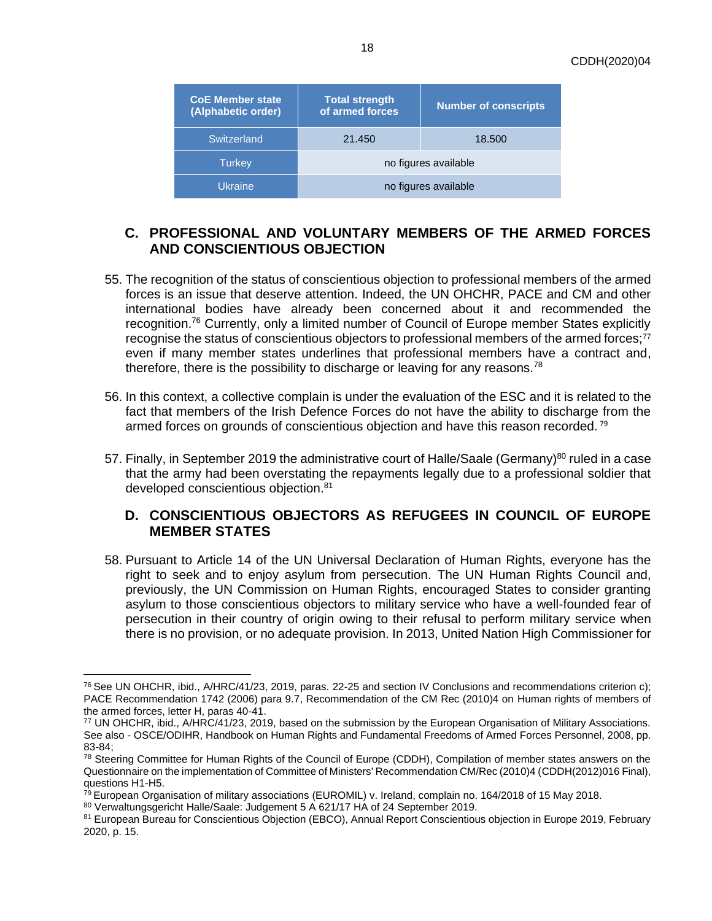| <b>CoE Member state</b><br>(Alphabetic order) | <b>Total strength</b><br>of armed forces | <b>Number of conscripts</b> |
|-----------------------------------------------|------------------------------------------|-----------------------------|
| Switzerland                                   | 21.450                                   | 18.500                      |
| <b>Turkey</b>                                 | no figures available                     |                             |
| <b>Ukraine</b>                                | no figures available                     |                             |

# <span id="page-17-0"></span>**C. PROFESSIONAL AND VOLUNTARY MEMBERS OF THE ARMED FORCES AND CONSCIENTIOUS OBJECTION**

- 55. The recognition of the status of conscientious objection to professional members of the armed forces is an issue that deserve attention. Indeed, the UN OHCHR, PACE and CM and other international bodies have already been concerned about it and recommended the recognition.<sup>76</sup> Currently, only a limited number of Council of Europe member States explicitly recognise the status of conscientious objectors to professional members of the armed forces;<sup>77</sup> even if many member states underlines that professional members have a contract and, therefore, there is the possibility to discharge or leaving for any reasons.<sup>78</sup>
- 56. In this context, a collective complain is under the evaluation of the ESC and it is related to the fact that members of the Irish Defence Forces do not have the ability to discharge from the armed forces on grounds of conscientious objection and have this reason recorded.<sup>79</sup>
- 57. Finally, in September 2019 the administrative court of Halle/Saale (Germany)<sup>80</sup> ruled in a case that the army had been overstating the repayments legally due to a professional soldier that developed conscientious objection.<sup>81</sup>

# <span id="page-17-1"></span>**D. CONSCIENTIOUS OBJECTORS AS REFUGEES IN COUNCIL OF EUROPE MEMBER STATES**

58. Pursuant to Article 14 of the UN Universal Declaration of Human Rights, everyone has the right to seek and to enjoy asylum from persecution. The UN Human Rights Council and, previously, the UN Commission on Human Rights, encouraged States to consider granting asylum to those conscientious objectors to military service who have a well-founded fear of persecution in their country of origin owing to their refusal to perform military service when there is no provision, or no adequate provision. In 2013, United Nation High Commissioner for

 $76$  See UN OHCHR, ibid., A/HRC/41/23, 2019, paras. 22-25 and section IV Conclusions and recommendations criterion c); PACE Recommendation 1742 (2006) para 9.7, Recommendation of the CM Rec (2010)4 on Human rights of members of the armed forces, letter H, paras 40-41.

<sup>77</sup> UN OHCHR, ibid., A/HRC/41/23, 2019, based on the submission by the European Organisation of Military Associations. See also - OSCE/ODIHR, Handbook on Human Rights and Fundamental Freedoms of Armed Forces Personnel, 2008, pp. 83-84;

<sup>&</sup>lt;sup>78</sup> Steering Committee for Human Rights of the Council of Europe (CDDH), Compilation of member states answers on the Questionnaire on the implementation of Committee of Ministers' Recommendation CM/Rec (2010)4 (CDDH(2012)016 Final), questions H1-H5.

<sup>&</sup>lt;sup>79</sup> European Organisation of military associations (EUROMIL) v. Ireland, complain no. 164/2018 of 15 May 2018.

<sup>80</sup> Verwaltungsgericht Halle/Saale: Judgement 5 A 621/17 HA of 24 September 2019.

<sup>81</sup> European Bureau for Conscientious Objection (EBCO), Annual Report Conscientious objection in Europe 2019, February 2020, p. 15.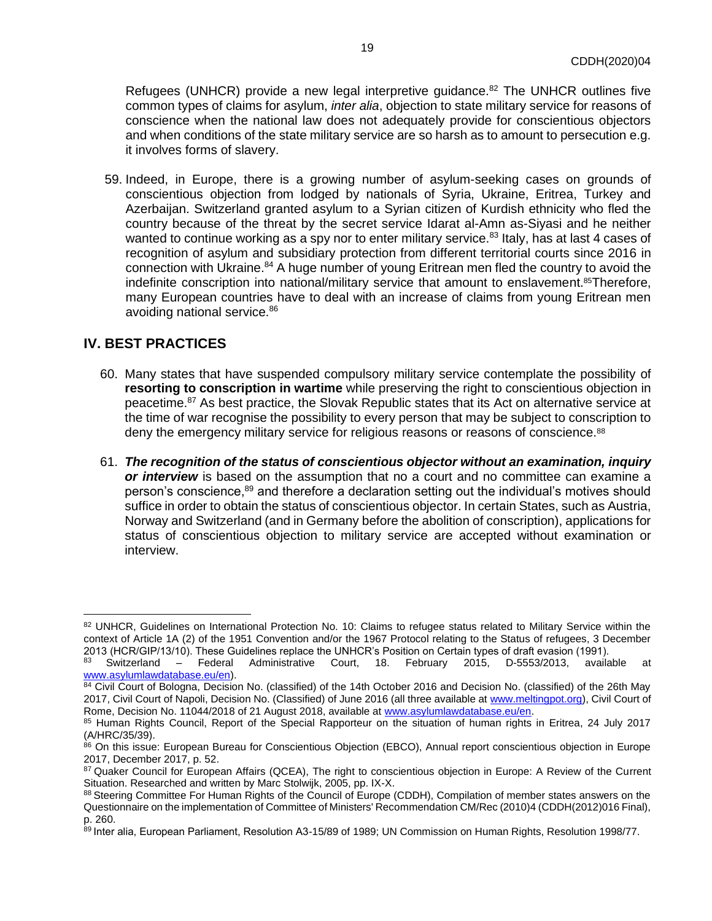Refugees (UNHCR) provide a new legal interpretive guidance.<sup>82</sup> The UNHCR outlines five common types of claims for asylum, *inter alia*, objection to state military service for reasons of conscience when the national law does not adequately provide for conscientious objectors and when conditions of the state military service are so harsh as to amount to persecution e.g. it involves forms of slavery.

59. Indeed, in Europe, there is a growing number of asylum-seeking cases on grounds of conscientious objection from lodged by nationals of Syria, Ukraine, Eritrea, Turkey and Azerbaijan. Switzerland granted asylum to a Syrian citizen of Kurdish ethnicity who fled the country because of the threat by the secret service Idarat al-Amn as-Siyasi and he neither wanted to continue working as a spy nor to enter military service.<sup>83</sup> Italy, has at last 4 cases of recognition of asylum and subsidiary protection from different territorial courts since 2016 in connection with Ukraine.<sup>84</sup> A huge number of young Eritrean men fled the country to avoid the indefinite conscription into national/military service that amount to enslavement.<sup>85</sup>Therefore, many European countries have to deal with an increase of claims from young Eritrean men avoiding national service.<sup>86</sup>

## <span id="page-18-0"></span>**IV. BEST PRACTICES**

- 60. Many states that have suspended compulsory military service contemplate the possibility of **resorting to conscription in wartime** while preserving the right to conscientious objection in peacetime.<sup>87</sup> As best practice, the Slovak Republic states that its Act on alternative service at the time of war recognise the possibility to every person that may be subject to conscription to deny the emergency military service for religious reasons or reasons of conscience.<sup>88</sup>
- 61. *The recognition of the status of conscientious objector without an examination, inquiry or interview* is based on the assumption that no a court and no committee can examine a person's conscience,<sup>89</sup> and therefore a declaration setting out the individual's motives should suffice in order to obtain the status of conscientious objector. In certain States, such as Austria, Norway and Switzerland (and in Germany before the abolition of conscription), applications for status of conscientious objection to military service are accepted without examination or interview.

<sup>82</sup> UNHCR, Guidelines on International Protection No. 10: Claims to refugee status related to Military Service within the context of Article 1A (2) of the 1951 Convention and/or the 1967 Protocol relating to the Status of refugees, 3 December 2013 (HCR/GIP/13/10). These Guidelines replace the UNHCR's Position on Certain types of draft evasion (1991).

<sup>83</sup> Switzerland – Federal Administrative Court, 18. February 2015, D-5553/2013, available at [www.asylumlawdatabase.eu/en\)](http://www.asylumlawdatabase.eu/en).

<sup>84</sup> Civil Court of Bologna, Decision No. (classified) of the 14th October 2016 and Decision No. (classified) of the 26th May 2017, Civil Court of Napoli, Decision No. (Classified) of June 2016 (all three available a[t www.meltingpot.org\)](http://www.meltingpot.org/), Civil Court of Rome, Decision No. 11044/2018 of 21 August 2018, available a[t www.asylumlawdatabase.eu/en.](http://www.asylumlawdatabase.eu/en)

<sup>85</sup> Human Rights Council, Report of the Special Rapporteur on the situation of human rights in Eritrea, 24 July 2017 (A/HRC/35/39).

<sup>86</sup> On this issue: European Bureau for Conscientious Objection (EBCO), Annual report conscientious objection in Europe 2017, December 2017, p. 52.

<sup>87</sup> Quaker Council for European Affairs (QCEA), The right to conscientious objection in Europe: A Review of the Current Situation. Researched and written by Marc Stolwijk, 2005, pp. IX-X.

<sup>88</sup> Steering Committee For Human Rights of the Council of Europe (CDDH), Compilation of member states answers on the Questionnaire on the implementation of Committee of Ministers' Recommendation CM/Rec (2010)4 (CDDH(2012)016 Final), p. 260.

<sup>89</sup> Inter alia, European Parliament, Resolution A3-15/89 of 1989; UN Commission on Human Rights, Resolution 1998/77.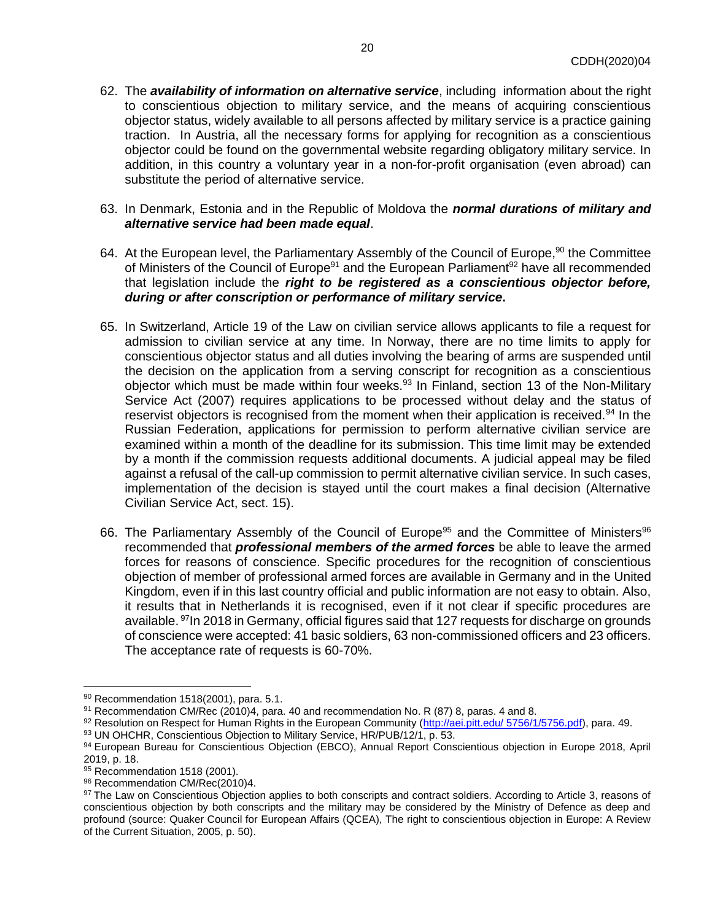- 62. The *availability of information on alternative service*, including information about the right to conscientious objection to military service, and the means of acquiring conscientious objector status, widely available to all persons affected by military service is a practice gaining traction. In Austria, all the necessary forms for applying for recognition as a conscientious objector could be found on the governmental website regarding obligatory military service. In addition, in this country a voluntary year in a non-for-profit organisation (even abroad) can substitute the period of alternative service.
- 63. In Denmark, Estonia and in the Republic of Moldova the *normal durations of military and alternative service had been made equal*.
- 64. At the European level, the Parliamentary Assembly of the Council of Europe,<sup>90</sup> the Committee of Ministers of the Council of Europe<sup>91</sup> and the European Parliament<sup>92</sup> have all recommended that legislation include the *right to be registered as a conscientious objector before, during or after conscription or performance of military service***.**
- 65. In Switzerland, Article 19 of the Law on civilian service allows applicants to file a request for admission to civilian service at any time. In Norway, there are no time limits to apply for conscientious objector status and all duties involving the bearing of arms are suspended until the decision on the application from a serving conscript for recognition as a conscientious objector which must be made within four weeks.<sup>93</sup> In Finland, section 13 of the Non-Military Service Act (2007) requires applications to be processed without delay and the status of reservist objectors is recognised from the moment when their application is received.<sup>94</sup> In the Russian Federation, applications for permission to perform alternative civilian service are examined within a month of the deadline for its submission. This time limit may be extended by a month if the commission requests additional documents. A judicial appeal may be filed against a refusal of the call-up commission to permit alternative civilian service. In such cases, implementation of the decision is stayed until the court makes a final decision (Alternative Civilian Service Act, sect. 15).
- 66. The Parliamentary Assembly of the Council of Europe<sup>95</sup> and the Committee of Ministers<sup>96</sup> recommended that *professional members of the armed forces* be able to leave the armed forces for reasons of conscience. Specific procedures for the recognition of conscientious objection of member of professional armed forces are available in Germany and in the United Kingdom, even if in this last country official and public information are not easy to obtain. Also, it results that in Netherlands it is recognised, even if it not clear if specific procedures are available. <sup>97</sup>In 2018 in Germany, official figures said that 127 requests for discharge on grounds of conscience were accepted: 41 basic soldiers, 63 non-commissioned officers and 23 officers. The acceptance rate of requests is 60-70%.

<span id="page-19-0"></span><sup>90</sup> Recommendation 1518(2001), para. 5.1.

 $91$  Recommendation CM/Rec (2010)4, para. 40 and recommendation No. R (87) 8, paras. 4 and 8.

<sup>92</sup> Resolution on Respect for Human Rights in the European Community [\(http://aei.pitt.edu/ 5756/1/5756.pdf\)](http://aei.pitt.edu/5756/1/5756.pdf), para. 49.

<sup>93</sup> UN OHCHR, Conscientious Objection to Military Service, HR/PUB/12/1, p. 53.

<sup>94</sup> European Bureau for Conscientious Objection (EBCO), Annual Report Conscientious objection in Europe 2018, April 2019, p. 18.

<sup>95</sup> Recommendation 1518 (2001).

<sup>96</sup> Recommendation CM/Rec(2010)4.

<sup>97</sup> The Law on Conscientious Objection applies to both conscripts and contract soldiers. According to Article 3, reasons of conscientious objection by both conscripts and the military may be considered by the Ministry of Defence as deep and profound (source: Quaker Council for European Affairs (QCEA), The right to conscientious objection in Europe: A Review of the Current Situation, 2005, p. 50).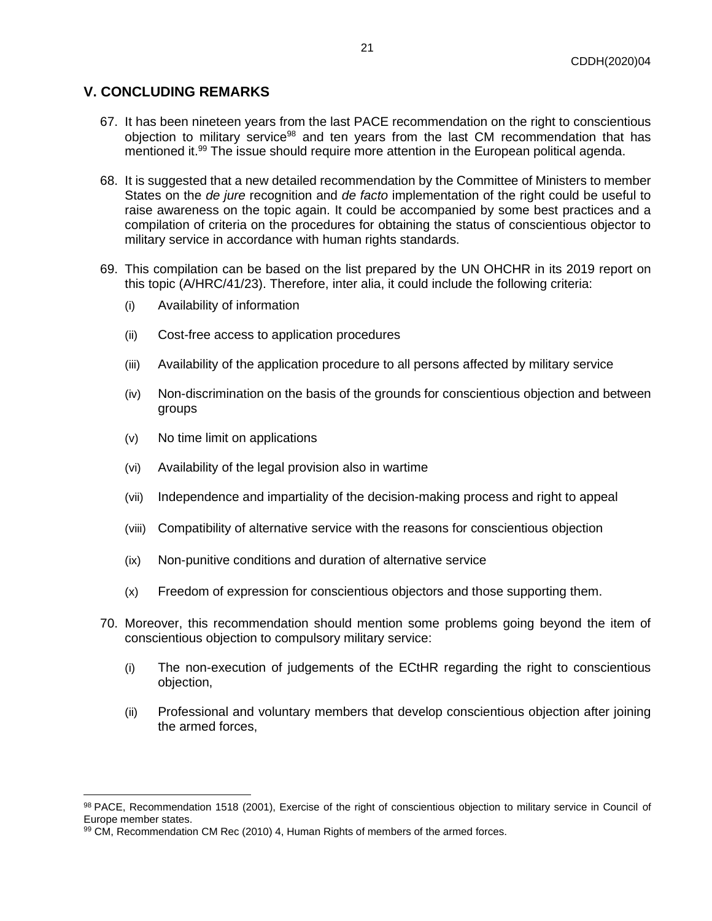# **V. CONCLUDING REMARKS**

- 67. It has been nineteen years from the last PACE recommendation on the right to conscientious objection to military service<sup>98</sup> and ten years from the last CM recommendation that has mentioned it.<sup>99</sup> The issue should require more attention in the European political agenda.
- 68. It is suggested that a new detailed recommendation by the Committee of Ministers to member States on the *de jure* recognition and *de facto* implementation of the right could be useful to raise awareness on the topic again. It could be accompanied by some best practices and a compilation of criteria on the procedures for obtaining the status of conscientious objector to military service in accordance with human rights standards.
- 69. This compilation can be based on the list prepared by the UN OHCHR in its 2019 report on this topic (A/HRC/41/23). Therefore, inter alia, it could include the following criteria:
	- (i) Availability of information
	- (ii) Cost-free access to application procedures
	- (iii) Availability of the application procedure to all persons affected by military service
	- (iv) Non-discrimination on the basis of the grounds for conscientious objection and between groups
	- (v) No time limit on applications
	- (vi) Availability of the legal provision also in wartime
	- (vii) Independence and impartiality of the decision-making process and right to appeal
	- (viii) Compatibility of alternative service with the reasons for conscientious objection
	- (ix) Non-punitive conditions and duration of alternative service
	- (x) Freedom of expression for conscientious objectors and those supporting them.
- 70. Moreover, this recommendation should mention some problems going beyond the item of conscientious objection to compulsory military service:
	- (i) The non-execution of judgements of the ECtHR regarding the right to conscientious objection,
	- (ii) Professional and voluntary members that develop conscientious objection after joining the armed forces,

<sup>98</sup> PACE, Recommendation 1518 (2001), Exercise of the right of conscientious objection to military service in Council of Europe member states.

<sup>99</sup> CM, Recommendation CM Rec (2010) 4, Human Rights of members of the armed forces.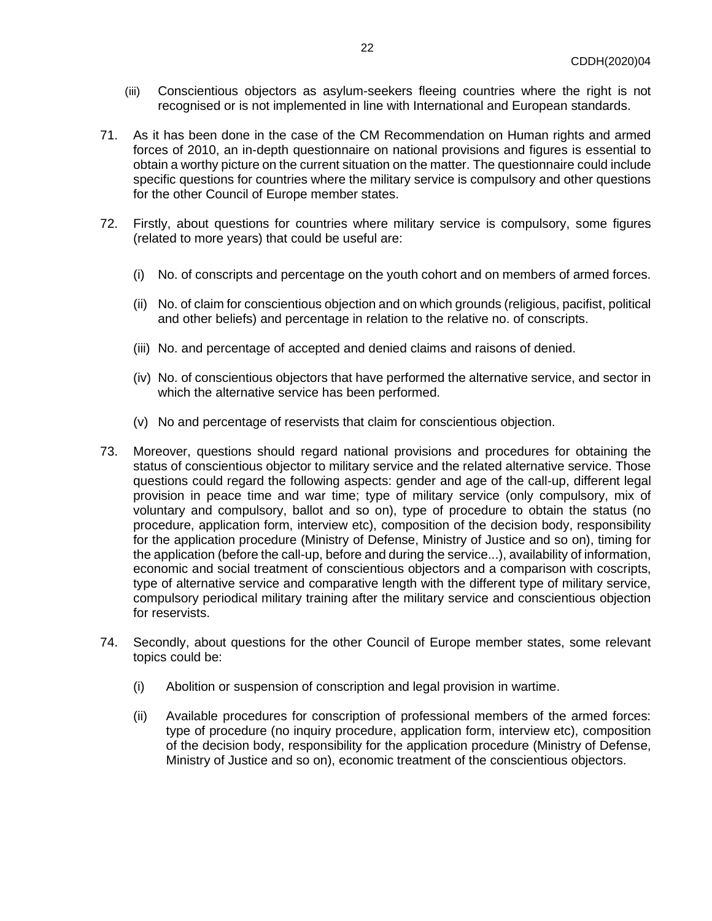- (iii) Conscientious objectors as asylum-seekers fleeing countries where the right is not recognised or is not implemented in line with International and European standards.
- 71. As it has been done in the case of the CM Recommendation on Human rights and armed forces of 2010, an in-depth questionnaire on national provisions and figures is essential to obtain a worthy picture on the current situation on the matter. The questionnaire could include specific questions for countries where the military service is compulsory and other questions for the other Council of Europe member states.
- 72. Firstly, about questions for countries where military service is compulsory, some figures (related to more years) that could be useful are:
	- (i) No. of conscripts and percentage on the youth cohort and on members of armed forces.
	- (ii) No. of claim for conscientious objection and on which grounds (religious, pacifist, political and other beliefs) and percentage in relation to the relative no. of conscripts.
	- (iii) No. and percentage of accepted and denied claims and raisons of denied.
	- (iv) No. of conscientious objectors that have performed the alternative service, and sector in which the alternative service has been performed.
	- (v) No and percentage of reservists that claim for conscientious objection.
- 73. Moreover, questions should regard national provisions and procedures for obtaining the status of conscientious objector to military service and the related alternative service. Those questions could regard the following aspects: gender and age of the call-up, different legal provision in peace time and war time; type of military service (only compulsory, mix of voluntary and compulsory, ballot and so on), type of procedure to obtain the status (no procedure, application form, interview etc), composition of the decision body, responsibility for the application procedure (Ministry of Defense, Ministry of Justice and so on), timing for the application (before the call-up, before and during the service...), availability of information, economic and social treatment of conscientious objectors and a comparison with coscripts, type of alternative service and comparative length with the different type of military service, compulsory periodical military training after the military service and conscientious objection for reservists.
- 74. Secondly, about questions for the other Council of Europe member states, some relevant topics could be:
	- (i) Abolition or suspension of conscription and legal provision in wartime.
	- (ii) Available procedures for conscription of professional members of the armed forces: type of procedure (no inquiry procedure, application form, interview etc), composition of the decision body, responsibility for the application procedure (Ministry of Defense, Ministry of Justice and so on), economic treatment of the conscientious objectors.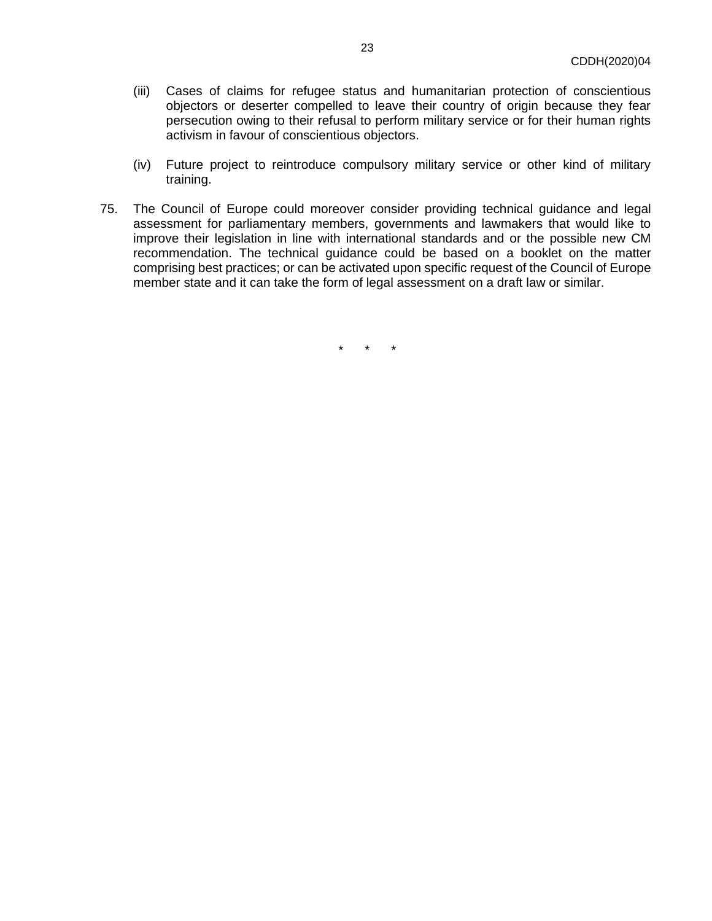- (iii) Cases of claims for refugee status and humanitarian protection of conscientious objectors or deserter compelled to leave their country of origin because they fear persecution owing to their refusal to perform military service or for their human rights activism in favour of conscientious objectors.
- (iv) Future project to reintroduce compulsory military service or other kind of military training.
- 75. The Council of Europe could moreover consider providing technical guidance and legal assessment for parliamentary members, governments and lawmakers that would like to improve their legislation in line with international standards and or the possible new CM recommendation. The technical guidance could be based on a booklet on the matter comprising best practices; or can be activated upon specific request of the Council of Europe member state and it can take the form of legal assessment on a draft law or similar.

\* \* \*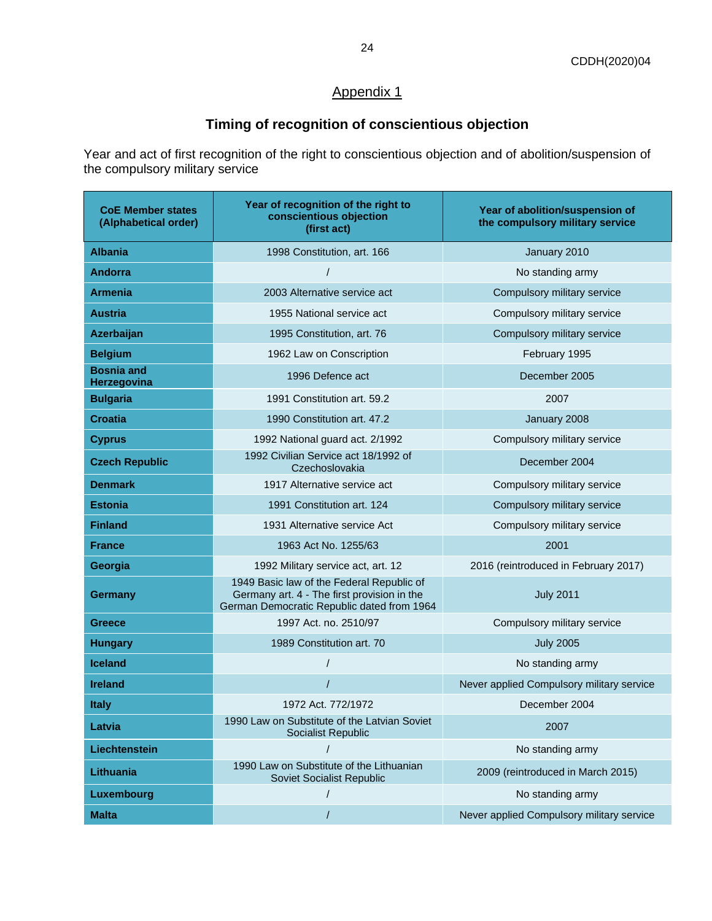# <span id="page-23-1"></span>Appendix 1

# **Timing of recognition of conscientious objection**

<span id="page-23-0"></span>Year and act of first recognition of the right to conscientious objection and of abolition/suspension of the compulsory military service

| <b>CoE Member states</b><br>(Alphabetical order) | Year of recognition of the right to<br>conscientious objection<br>(first act)                                                          | Year of abolition/suspension of<br>the compulsory military service |
|--------------------------------------------------|----------------------------------------------------------------------------------------------------------------------------------------|--------------------------------------------------------------------|
| <b>Albania</b>                                   | 1998 Constitution, art. 166                                                                                                            | January 2010                                                       |
| <b>Andorra</b>                                   |                                                                                                                                        | No standing army                                                   |
| <b>Armenia</b>                                   | 2003 Alternative service act                                                                                                           | Compulsory military service                                        |
| <b>Austria</b>                                   | 1955 National service act                                                                                                              | Compulsory military service                                        |
| Azerbaijan                                       | 1995 Constitution, art. 76                                                                                                             | Compulsory military service                                        |
| <b>Belgium</b>                                   | 1962 Law on Conscription                                                                                                               | February 1995                                                      |
| <b>Bosnia and</b><br>Herzegovina                 | 1996 Defence act                                                                                                                       | December 2005                                                      |
| <b>Bulgaria</b>                                  | 1991 Constitution art. 59.2                                                                                                            | 2007                                                               |
| <b>Croatia</b>                                   | 1990 Constitution art. 47.2                                                                                                            | January 2008                                                       |
| <b>Cyprus</b>                                    | 1992 National guard act. 2/1992                                                                                                        | Compulsory military service                                        |
| <b>Czech Republic</b>                            | 1992 Civilian Service act 18/1992 of<br>Czechoslovakia                                                                                 | December 2004                                                      |
| <b>Denmark</b>                                   | 1917 Alternative service act                                                                                                           | Compulsory military service                                        |
| <b>Estonia</b>                                   | 1991 Constitution art. 124                                                                                                             | Compulsory military service                                        |
| <b>Finland</b>                                   | 1931 Alternative service Act                                                                                                           | Compulsory military service                                        |
| <b>France</b>                                    | 1963 Act No. 1255/63                                                                                                                   | 2001                                                               |
| Georgia                                          | 1992 Military service act, art. 12                                                                                                     | 2016 (reintroduced in February 2017)                               |
| <b>Germany</b>                                   | 1949 Basic law of the Federal Republic of<br>Germany art. 4 - The first provision in the<br>German Democratic Republic dated from 1964 | <b>July 2011</b>                                                   |
| <b>Greece</b>                                    | 1997 Act. no. 2510/97                                                                                                                  | Compulsory military service                                        |
| <b>Hungary</b>                                   | 1989 Constitution art. 70                                                                                                              | <b>July 2005</b>                                                   |
| <b>Iceland</b>                                   |                                                                                                                                        | No standing army                                                   |
| <b>Ireland</b>                                   |                                                                                                                                        | Never applied Compulsory military service                          |
| <b>Italy</b>                                     | 1972 Act. 772/1972                                                                                                                     | December 2004                                                      |
| Latvia                                           | 1990 Law on Substitute of the Latvian Soviet<br><b>Socialist Republic</b>                                                              | 2007                                                               |
| Liechtenstein                                    |                                                                                                                                        | No standing army                                                   |
| Lithuania                                        | 1990 Law on Substitute of the Lithuanian<br>Soviet Socialist Republic                                                                  | 2009 (reintroduced in March 2015)                                  |
| Luxembourg                                       |                                                                                                                                        | No standing army                                                   |
| <b>Malta</b>                                     |                                                                                                                                        | Never applied Compulsory military service                          |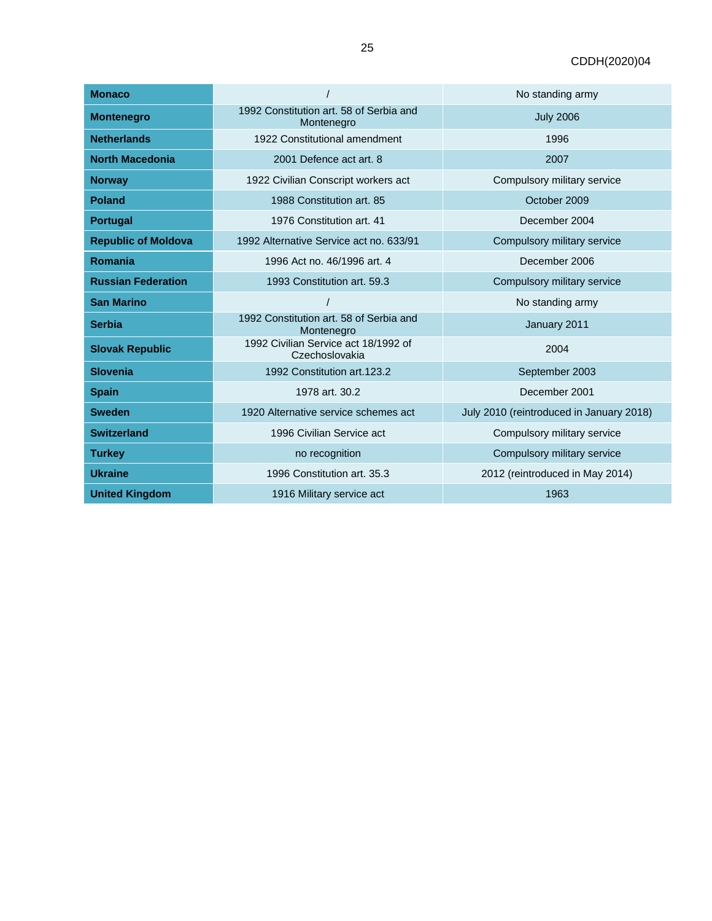| <b>Monaco</b>              |                                                        | No standing army                         |
|----------------------------|--------------------------------------------------------|------------------------------------------|
| <b>Montenegro</b>          | 1992 Constitution art. 58 of Serbia and<br>Montenegro  | <b>July 2006</b>                         |
| <b>Netherlands</b>         | 1922 Constitutional amendment                          | 1996                                     |
| <b>North Macedonia</b>     | 2001 Defence act art. 8                                | 2007                                     |
| <b>Norway</b>              | 1922 Civilian Conscript workers act                    | Compulsory military service              |
| <b>Poland</b>              | 1988 Constitution art. 85                              | October 2009                             |
| Portugal                   | 1976 Constitution art. 41                              | December 2004                            |
| <b>Republic of Moldova</b> | 1992 Alternative Service act no. 633/91                | Compulsory military service              |
| <b>Romania</b>             | 1996 Act no. 46/1996 art. 4                            | December 2006                            |
| <b>Russian Federation</b>  | 1993 Constitution art. 59.3                            | Compulsory military service              |
| <b>San Marino</b>          |                                                        | No standing army                         |
| <b>Serbia</b>              | 1992 Constitution art. 58 of Serbia and<br>Montenegro  | January 2011                             |
| <b>Slovak Republic</b>     | 1992 Civilian Service act 18/1992 of<br>Czechoslovakia | 2004                                     |
| <b>Slovenia</b>            | 1992 Constitution art. 123.2                           | September 2003                           |
| <b>Spain</b>               | 1978 art. 30.2                                         | December 2001                            |
| <b>Sweden</b>              | 1920 Alternative service schemes act                   | July 2010 (reintroduced in January 2018) |
| <b>Switzerland</b>         | 1996 Civilian Service act                              | Compulsory military service              |
| <b>Turkey</b>              | no recognition                                         | Compulsory military service              |
| <b>Ukraine</b>             | 1996 Constitution art. 35.3                            | 2012 (reintroduced in May 2014)          |
| <b>United Kingdom</b>      | 1916 Military service act                              | 1963                                     |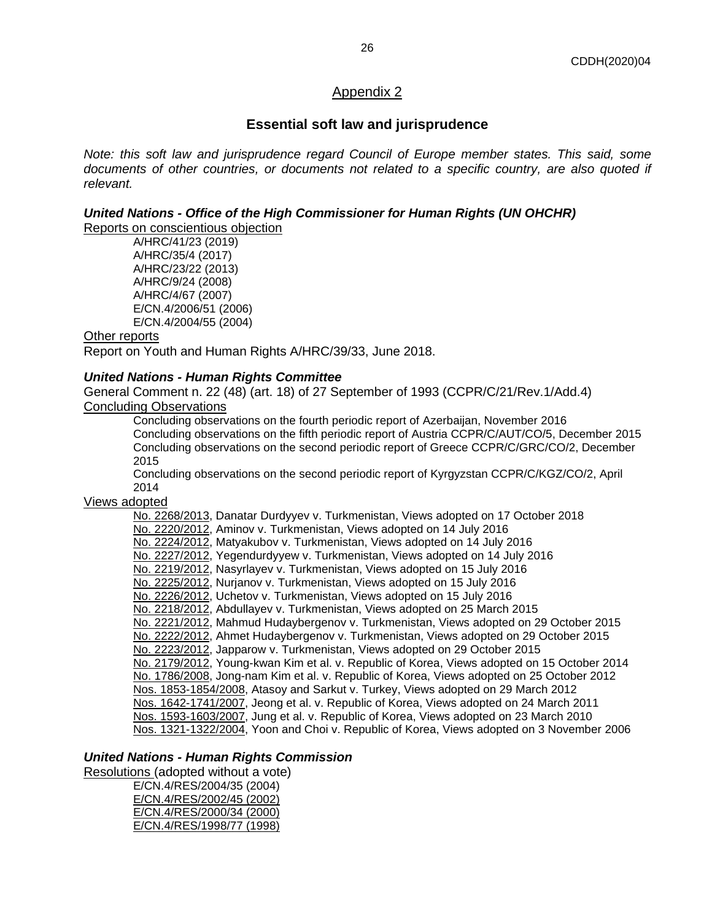#### CDDH(2020)04

# <span id="page-25-1"></span>Appendix 2

# **Essential soft law and jurisprudence**

<span id="page-25-0"></span>*Note: this soft law and jurisprudence regard Council of Europe member states. This said, some documents of other countries, or documents not related to a specific country, are also quoted if relevant.*

# *United Nations - Office of the High Commissioner for Human Rights (UN OHCHR)*

Reports on conscientious objection

A/HRC/41/23 (2019) A/HRC/35/4 (2017) A/HRC/23/22 (2013) A/HRC/9/24 (2008) A/HRC/4/67 (2007) E/CN.4/2006/51 (2006) E/CN.4/2004/55 (2004)

#### Other reports

Report on Youth and Human Rights A/HRC/39/33, June 2018.

## *United Nations - Human Rights Committee*

General Comment n. 22 (48) (art. 18) of 27 September of 1993 (CCPR/C/21/Rev.1/Add.4) Concluding Observations

Concluding observations on the fourth periodic report of Azerbaijan, November 2016 Concluding observations on the fifth periodic report of Austria CCPR/C/AUT/CO/5, December 2015 Concluding observations on the second periodic report of Greece CCPR/C/GRC/CO/2, December 2015

Concluding observations on the second periodic report of Kyrgyzstan CCPR/C/KGZ/CO/2, April 2014

### Views adopted

No. 2268/2013, Danatar Durdyyev v. Turkmenistan, Views adopted on 17 October 2018 [No. 2220/2012,](http://www.undocs.org/CCPR/C/117/D/2220/2012) Aminov v. Turkmenistan, Views adopted on 14 July 2016 [No. 2224/2012,](http://www.undocs.org/CCPR/C/117/D/2224/2012) Matyakubov v. Turkmenistan, Views adopted on 14 July 2016 [No. 2227/2012,](http://www.undocs.org/CCPR/C/117/D/2227/2012) Yegendurdyyew v. Turkmenistan, Views adopted on 14 July 2016 [No. 2219/2012,](http://www.undocs.org/CCPR/C/117/D/2219/2012) Nasyrlayev v. Turkmenistan, Views adopted on 15 July 2016 [No. 2225/2012,](http://www.undocs.org/CCPR/C/117/D/2225/2012) Nurjanov v. Turkmenistan, Views adopted on 15 July 2016 [No. 2226/2012,](http://www.undocs.org/CCPR/C/117/D/2226/2012) Uchetov v. Turkmenistan, Views adopted on 15 July 2016 [No. 2218/2012,](http://www.undocs.org/CCPR/C/113/D/2218/2012) Abdullayev v. Turkmenistan, Views adopted on 25 March 2015 [No. 2221/2012,](http://www.undocs.org/CCPR/C/115/D/2221/2012) Mahmud Hudaybergenov v. Turkmenistan, Views adopted on 29 October 2015 [No. 2222/2012,](http://www.undocs.org/CCPR/C/115/D/2222/2012) Ahmet Hudaybergenov v. Turkmenistan, Views adopted on 29 October 2015 [No. 2223/2012,](http://www.undocs.org/CCPR/C/115/D/2223/2012) Japparow v. Turkmenistan, Views adopted on 29 October 2015 [No. 2179/2012,](http://www.undocs.org/CCPR/C/112/D/2179/2012) Young-kwan Kim et al. v. Republic of Korea, Views adopted on 15 October 2014 [No. 1786/2008,](http://www.undocs.org/CCPR/C/106/D/1786/2008) Jong-nam Kim et al. v. Republic of Korea, Views adopted on 25 October 2012 [Nos. 1853-1854/2008,](http://www.undocs.org/CCPR/C/104/D/1853-1854/2008) Atasoy and Sarkut v. Turkey, Views adopted on 29 March 2012 [Nos. 1642-1741/2007,](http://www.undocs.org/CCPR/C/101/D/1642-1741/2007) Jeong et al. v. Republic of Korea, Views adopted on 24 March 2011 [Nos. 1593-1603/2007,](http://www.undocs.org/CCPR/C/98/D/1593-1603/2007) Jung et al. v. Republic of Korea, Views adopted on 23 March 2010 [Nos. 1321-1322/2004,](http://www.undocs.org/CCPR/C/88/D/1321-1322/2004) Yoon and Choi v. Republic of Korea, Views adopted on 3 November 2006

#### *United Nations - Human Rights Commission*

Resolutions (adopted without a vote)

E/CN.4/RES/2004/35 (2004) E/CN.4/RES/2002/45 (2002) E/CN.4/RES/2000/34 (2000) E/CN.4/RES/1998/77 (1998)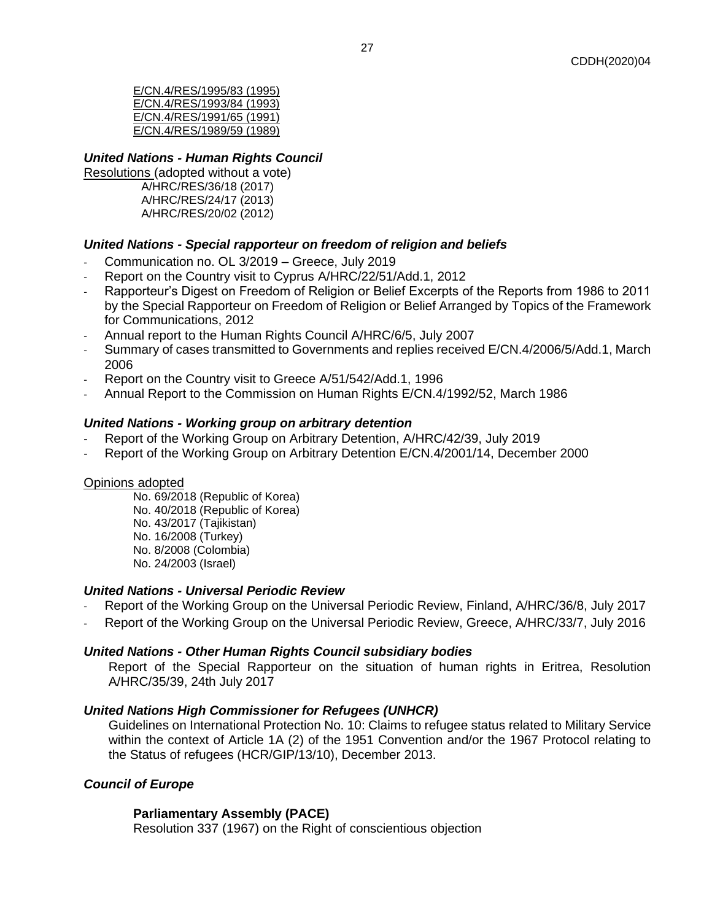E/CN.4/RES/1995/83 (1995) E/CN.4/RES/1993/84 (1993) E/CN.4/RES/1991/65 (1991) E/CN.4/RES/1989/59 (1989)

# *United Nations - Human Rights Council*

Resolutions (adopted without a vote) A/HRC/RES/36/18 (2017) A/HRC/RES/24/17 (2013) A/HRC/RES/20/02 (2012)

# *United Nations - Special rapporteur on freedom of religion and beliefs*

- Communication no. OL 3/2019 Greece, July 2019
- Report on the Country visit to Cyprus A/HRC/22/51/Add.1, 2012
- Rapporteur's Digest on Freedom of Religion or Belief Excerpts of the Reports from 1986 to 2011 by the Special Rapporteur on Freedom of Religion or Belief Arranged by Topics of the Framework for Communications, 2012
- Annual report to the Human Rights Council A/HRC/6/5, July 2007
- Summary of cases transmitted to Governments and replies received E/CN.4/2006/5/Add.1, March 2006
- Report on the Country visit to Greece A/51/542/Add.1, 1996
- Annual Report to the Commission on Human Rights E/CN.4/1992/52, March 1986

## *United Nations - Working group on arbitrary detention*

- Report of the Working Group on Arbitrary Detention, A/HRC/42/39, July 2019
- Report of the Working Group on Arbitrary Detention E/CN.4/2001/14, December 2000

#### Opinions adopted

No. 69/2018 (Republic of Korea) No. 40/2018 (Republic of Korea) No. 43/2017 (Tajikistan) No. 16/2008 (Turkey) No. 8/2008 (Colombia) No. 24/2003 (Israel)

#### *United Nations - Universal Periodic Review*

- Report of the Working Group on the Universal Periodic Review, Finland, A/HRC/36/8, July 2017
- Report of the Working Group on the Universal Periodic Review, Greece, A/HRC/33/7, July 2016

#### *United Nations - Other Human Rights Council subsidiary bodies*

Report of the Special Rapporteur on the situation of human rights in Eritrea, Resolution A/HRC/35/39, 24th July 2017

#### *United Nations High Commissioner for Refugees (UNHCR)*

Guidelines on International Protection No. 10: Claims to refugee status related to Military Service within the context of Article 1A (2) of the 1951 Convention and/or the 1967 Protocol relating to the Status of refugees (HCR/GIP/13/10), December 2013.

# *Council of Europe*

#### **Parliamentary Assembly (PACE)**

Resolution 337 (1967) on the Right of conscientious objection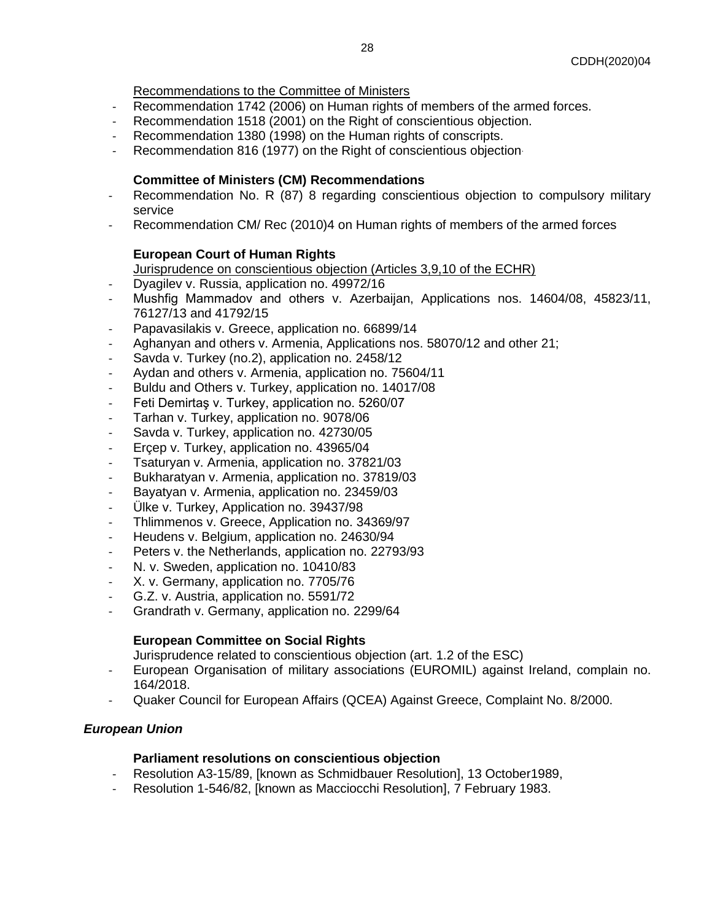Recommendations to the Committee of Ministers

- Recommendation 1742 (2006) on Human rights of members of the armed forces.
- Recommendation 1518 (2001) on the Right of conscientious objection.
- Recommendation 1380 (1998) on the Human rights of conscripts.
- Recommendation 816 (1977) on the Right of conscientious objection.

## **Committee of Ministers (CM) Recommendations**

- Recommendation No. R (87) 8 regarding conscientious objection to compulsory military service
- Recommendation CM/ Rec (2010)4 on Human rights of members of the armed forces

## **European Court of Human Rights**

Jurisprudence on conscientious objection (Articles 3,9,10 of the ECHR)

- Dyagilev v. Russia, application no. 49972/16
- Mushfig Mammadov and οthers v. Azerbaijan, Applications nos. 14604/08, 45823/11, 76127/13 and 41792/15
- Papavasilakis v. Greece, application no. 66899/14
- Aghanyan and others v. Armenia, Applications nos. 58070/12 and other 21;
- Savda v. Turkey (no.2), application no. 2458/12
- Aydan and others v. Armenia, application no. 75604/11
- Buldu and Others v. Turkey, application no. 14017/08
- Feti Demirtaş v. Turkey, application no. 5260/07
- Tarhan v. Turkey, application no. 9078/06
- Savda v. Turkey, application no. 42730/05
- Ercep v. Turkey, application no. 43965/04
- Tsaturyan v. Armenia, application no. 37821/03
- Bukharatyan v. Armenia, application no. 37819/03
- Bayatyan v. Armenia, application no. 23459/03
- Ülke v. Turkey, Application no. [39437/98](https://hudoc.echr.coe.int/eng#{"appno":["39437/98"]})
- Thlimmenos v. Greece, Application no. 34369/97
- Heudens v. Belgium, application no. 24630/94
- Peters v. the Netherlands, application no. 22793/93
- N. v. Sweden, application no. 10410/83
- X. v. Germany, application no. 7705/76
- G.Z. v. Austria, application no. 5591/72
- Grandrath v. Germany, application no. 2299/64

# **European Committee on Social Rights**

Jurisprudence related to conscientious objection (art. 1.2 of the ESC)

- European Organisation of military associations (EUROMIL) against Ireland, complain no. 164/2018.
- Quaker Council for European Affairs (QCEA) Against Greece, Complaint No. 8/2000.

# *European Union*

#### **Parliament resolutions on conscientious objection**

- Resolution A3-15/89, [known as Schmidbauer Resolution], 13 October1989,
- Resolution 1-546/82, [known as Macciocchi Resolution], 7 February 1983.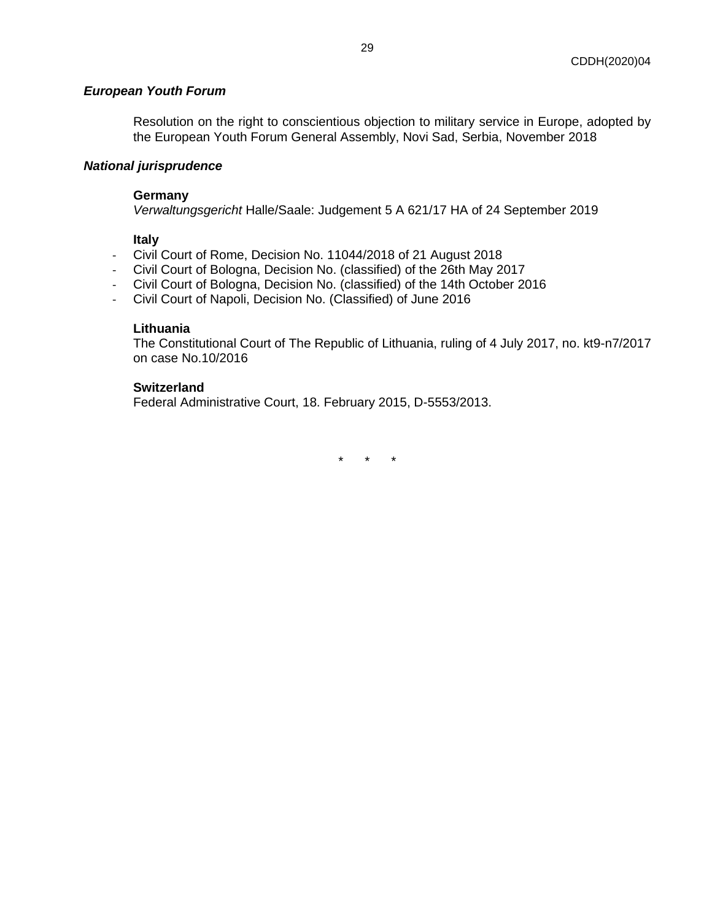#### *European Youth Forum*

Resolution on the right to conscientious objection to military service in Europe, adopted by the European Youth Forum General Assembly, Novi Sad, Serbia, November 2018

## *National jurisprudence*

#### **Germany**

*Verwaltungsgericht* Halle/Saale: Judgement 5 A 621/17 HA of 24 September 2019

#### **Italy**

- Civil Court of Rome, Decision No. 11044/2018 of 21 August 2018
- Civil Court of Bologna, Decision No. (classified) of the 26th May 2017
- Civil Court of Bologna, Decision No. (classified) of the 14th October 2016
- Civil Court of Napoli, Decision No. (Classified) of June 2016

#### **Lithuania**

The Constitutional Court of The Republic of Lithuania, ruling of 4 July 2017, no. kt9-n7/2017 on case No.10/2016

#### **Switzerland**

<span id="page-28-0"></span>Federal Administrative Court, 18. February 2015, D-5553/2013.

\* \* \*